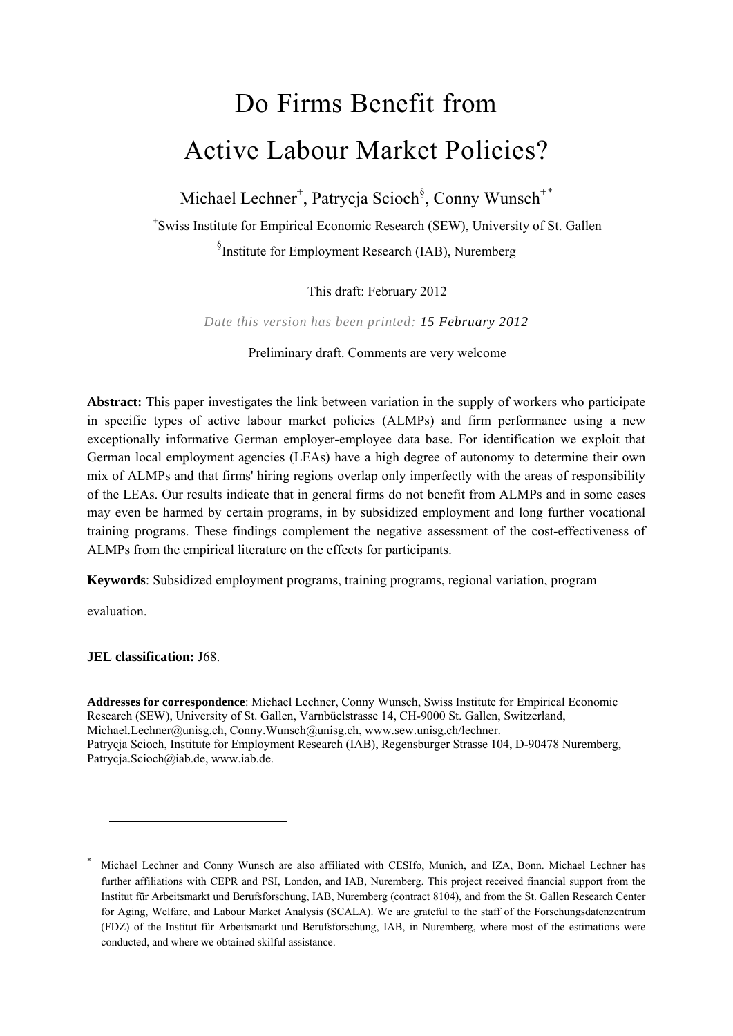# Do Firms Benefit from Active Labour Market Policies?

Michael Lechner<sup>+</sup>, Patrycja Scioch<sup>§</sup>, Conny Wunsch<sup>+[\\*](#page-0-0)</sup>

+ Swiss Institute for Empirical Economic Research (SEW), University of St. Gallen § Institute for Employment Research (IAB), Nuremberg

This draft: February 2012

*Date this version has been printed: 15 February 2012*

Preliminary draft. Comments are very welcome

**Abstract:** This paper investigates the link between variation in the supply of workers who participate in specific types of active labour market policies (ALMPs) and firm performance using a new exceptionally informative German employer-employee data base. For identification we exploit that German local employment agencies (LEAs) have a high degree of autonomy to determine their own mix of ALMPs and that firms' hiring regions overlap only imperfectly with the areas of responsibility of the LEAs. Our results indicate that in general firms do not benefit from ALMPs and in some cases may even be harmed by certain programs, in by subsidized employment and long further vocational training programs. These findings complement the negative assessment of the cost-effectiveness of ALMPs from the empirical literature on the effects for participants.

**Keywords**: Subsidized employment programs, training programs, regional variation, program

evaluation.

 $\overline{\phantom{a}}$ 

**JEL classification:** J68.

**Addresses for correspondence**: Michael Lechner, Conny Wunsch, Swiss Institute for Empirical Economic Research (SEW), University of St. Gallen, Varnbüelstrasse 14, CH-9000 St. Gallen, Switzerland, Michael.Lechner@unisg.ch, Conny.Wunsch@unisg.ch, www.sew.unisg.ch/lechner. Patrycja Scioch, Institute for Employment Research (IAB), Regensburger Strasse 104, D-90478 Nuremberg, Patrycja.Scioch@iab.de, www.iab.de.

<span id="page-0-0"></span><sup>\*</sup> Michael Lechner and Conny Wunsch are also affiliated with CESIfo, Munich, and IZA, Bonn. Michael Lechner has further affiliations with CEPR and PSI, London, and IAB, Nuremberg. This project received financial support from the Institut für Arbeitsmarkt und Berufsforschung, IAB, Nuremberg (contract 8104), and from the St. Gallen Research Center for Aging, Welfare, and Labour Market Analysis (SCALA). We are grateful to the staff of the Forschungsdatenzentrum (FDZ) of the Institut für Arbeitsmarkt und Berufsforschung, IAB, in Nuremberg, where most of the estimations were conducted, and where we obtained skilful assistance.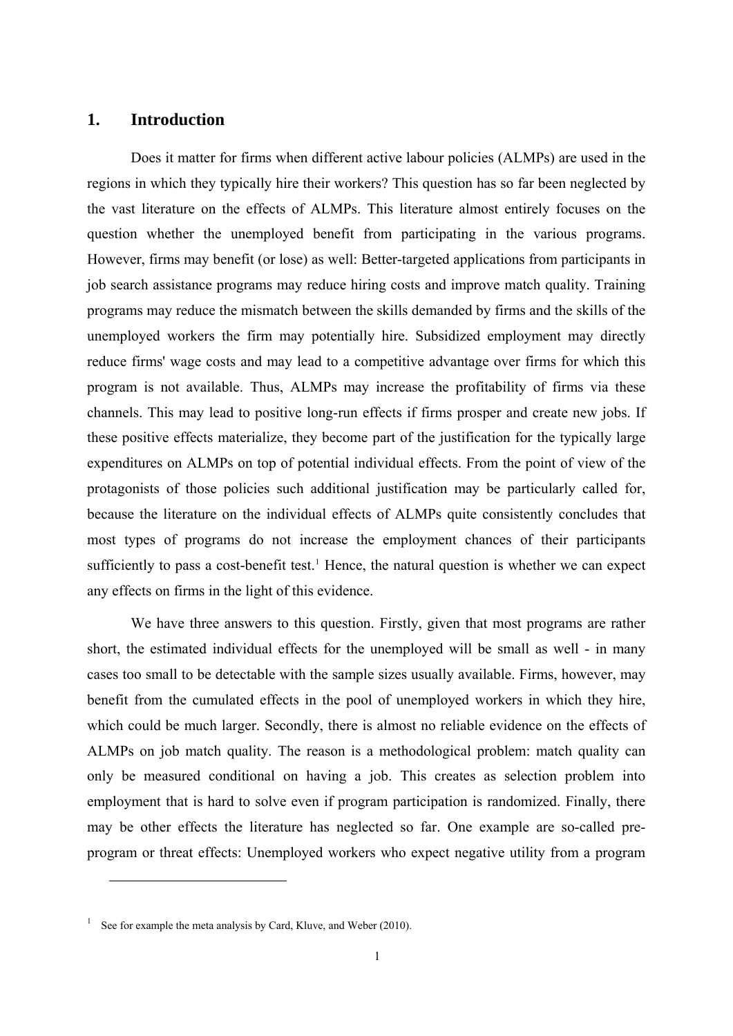## **1. Introduction**

Does it matter for firms when different active labour policies (ALMPs) are used in the regions in which they typically hire their workers? This question has so far been neglected by the vast literature on the effects of ALMPs. This literature almost entirely focuses on the question whether the unemployed benefit from participating in the various programs. However, firms may benefit (or lose) as well: Better-targeted applications from participants in job search assistance programs may reduce hiring costs and improve match quality. Training programs may reduce the mismatch between the skills demanded by firms and the skills of the unemployed workers the firm may potentially hire. Subsidized employment may directly reduce firms' wage costs and may lead to a competitive advantage over firms for which this program is not available. Thus, ALMPs may increase the profitability of firms via these channels. This may lead to positive long-run effects if firms prosper and create new jobs. If these positive effects materialize, they become part of the justification for the typically large expenditures on ALMPs on top of potential individual effects. From the point of view of the protagonists of those policies such additional justification may be particularly called for, because the literature on the individual effects of ALMPs quite consistently concludes that most types of programs do not increase the employment chances of their participants sufficiently to pass a cost-benefit test.<sup>[1](#page-1-0)</sup> Hence, the natural question is whether we can expect any effects on firms in the light of this evidence.

We have three answers to this question. Firstly, given that most programs are rather short, the estimated individual effects for the unemployed will be small as well - in many cases too small to be detectable with the sample sizes usually available. Firms, however, may benefit from the cumulated effects in the pool of unemployed workers in which they hire, which could be much larger. Secondly, there is almost no reliable evidence on the effects of ALMPs on job match quality. The reason is a methodological problem: match quality can only be measured conditional on having a job. This creates as selection problem into employment that is hard to solve even if program participation is randomized. Finally, there may be other effects the literature has neglected so far. One example are so-called preprogram or threat effects: Unemployed workers who expect negative utility from a program

 $\overline{\phantom{a}}$ 

<span id="page-1-0"></span><sup>&</sup>lt;sup>1</sup> See for example the meta analysis by Card, Kluve, and Weber (2010).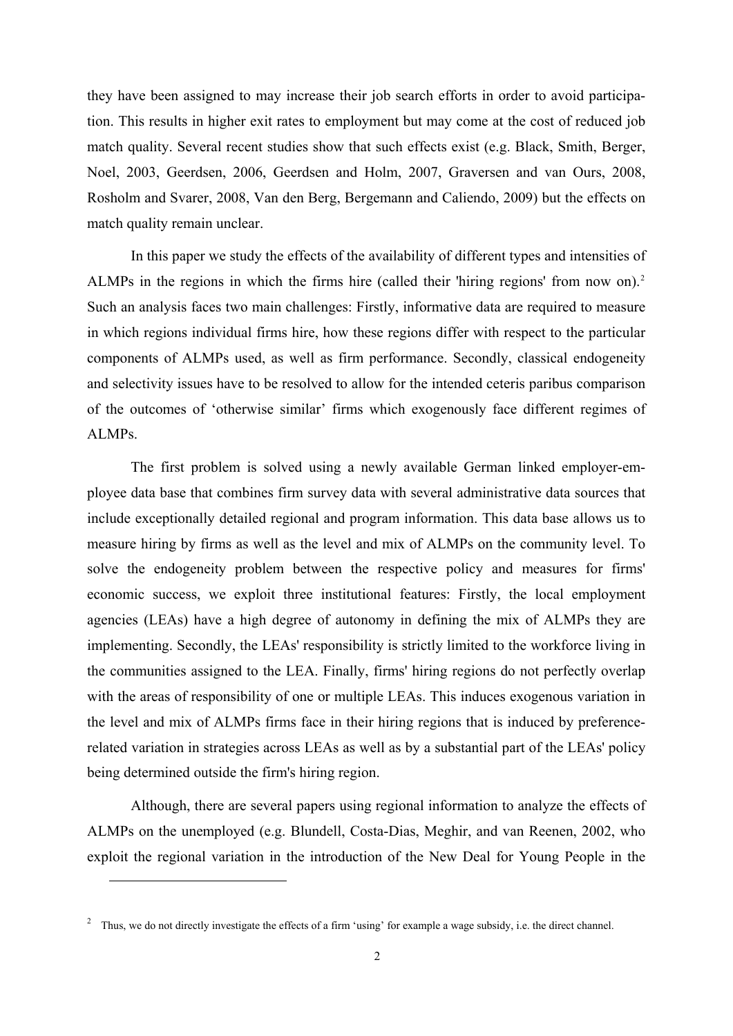they have been assigned to may increase their job search efforts in order to avoid participation. This results in higher exit rates to employment but may come at the cost of reduced job match quality. Several recent studies show that such effects exist (e.g. Black, Smith, Berger, Noel, 2003, Geerdsen, 2006, Geerdsen and Holm, 2007, Graversen and van Ours, 2008, Rosholm and Svarer, 2008, Van den Berg, Bergemann and Caliendo, 2009) but the effects on match quality remain unclear.

In this paper we study the effects of the availability of different types and intensities of ALMPs in the regions in which the firms hire (called their 'hiring regions' from now on).<sup>[2](#page-2-0)</sup> Such an analysis faces two main challenges: Firstly, informative data are required to measure in which regions individual firms hire, how these regions differ with respect to the particular components of ALMPs used, as well as firm performance. Secondly, classical endogeneity and selectivity issues have to be resolved to allow for the intended ceteris paribus comparison of the outcomes of 'otherwise similar' firms which exogenously face different regimes of ALMPs.

The first problem is solved using a newly available German linked employer-employee data base that combines firm survey data with several administrative data sources that include exceptionally detailed regional and program information. This data base allows us to measure hiring by firms as well as the level and mix of ALMPs on the community level. To solve the endogeneity problem between the respective policy and measures for firms' economic success, we exploit three institutional features: Firstly, the local employment agencies (LEAs) have a high degree of autonomy in defining the mix of ALMPs they are implementing. Secondly, the LEAs' responsibility is strictly limited to the workforce living in the communities assigned to the LEA. Finally, firms' hiring regions do not perfectly overlap with the areas of responsibility of one or multiple LEAs. This induces exogenous variation in the level and mix of ALMPs firms face in their hiring regions that is induced by preferencerelated variation in strategies across LEAs as well as by a substantial part of the LEAs' policy being determined outside the firm's hiring region.

Although, there are several papers using regional information to analyze the effects of ALMPs on the unemployed (e.g. Blundell, Costa-Dias, Meghir, and van Reenen, 2002, who exploit the regional variation in the introduction of the New Deal for Young People in the

 $\overline{a}$ 

<span id="page-2-0"></span> $2$  Thus, we do not directly investigate the effects of a firm 'using' for example a wage subsidy, i.e. the direct channel.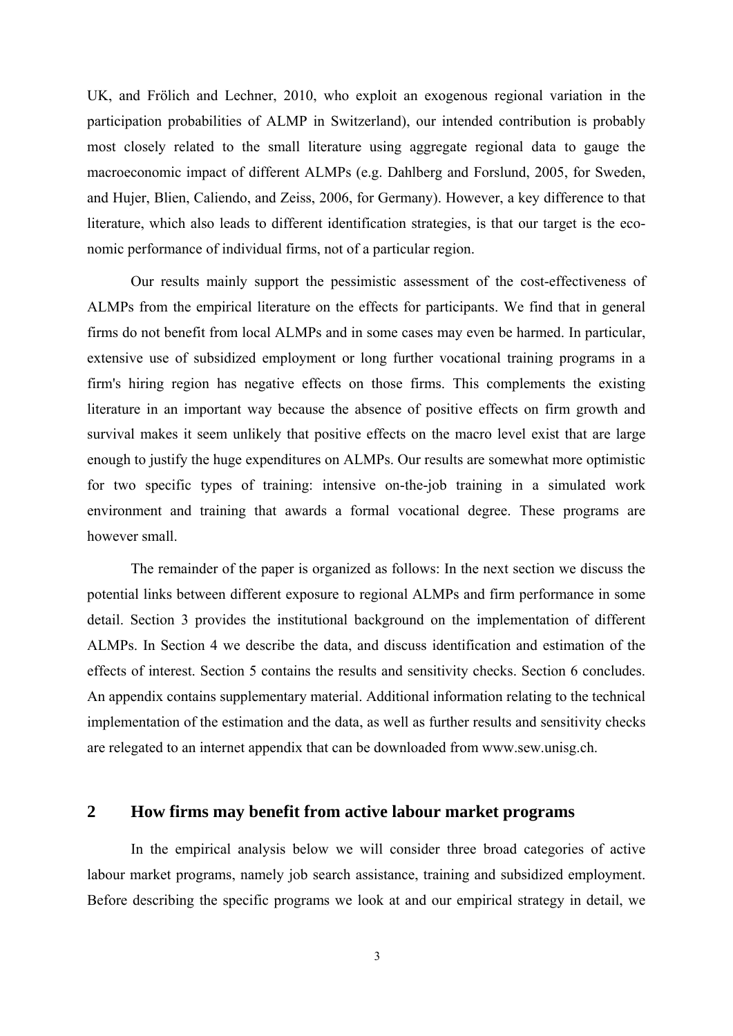UK, and Frölich and Lechner, 2010, who exploit an exogenous regional variation in the participation probabilities of ALMP in Switzerland), our intended contribution is probably most closely related to the small literature using aggregate regional data to gauge the macroeconomic impact of different ALMPs (e.g. Dahlberg and Forslund, 2005, for Sweden, and Hujer, Blien, Caliendo, and Zeiss, 2006, for Germany). However, a key difference to that literature, which also leads to different identification strategies, is that our target is the economic performance of individual firms, not of a particular region.

Our results mainly support the pessimistic assessment of the cost-effectiveness of ALMPs from the empirical literature on the effects for participants. We find that in general firms do not benefit from local ALMPs and in some cases may even be harmed. In particular, extensive use of subsidized employment or long further vocational training programs in a firm's hiring region has negative effects on those firms. This complements the existing literature in an important way because the absence of positive effects on firm growth and survival makes it seem unlikely that positive effects on the macro level exist that are large enough to justify the huge expenditures on ALMPs. Our results are somewhat more optimistic for two specific types of training: intensive on-the-job training in a simulated work environment and training that awards a formal vocational degree. These programs are however small.

The remainder of the paper is organized as follows: In the next section we discuss the potential links between different exposure to regional ALMPs and firm performance in some detail. Section 3 provides the institutional background on the implementation of different ALMPs. In Section 4 we describe the data, and discuss identification and estimation of the effects of interest. Section 5 contains the results and sensitivity checks. Section 6 concludes. An appendix contains supplementary material. Additional information relating to the technical implementation of the estimation and the data, as well as further results and sensitivity checks are relegated to an internet appendix that can be downloaded from www.sew.unisg.ch.

## **2 How firms may benefit from active labour market programs**

In the empirical analysis below we will consider three broad categories of active labour market programs, namely job search assistance, training and subsidized employment. Before describing the specific programs we look at and our empirical strategy in detail, we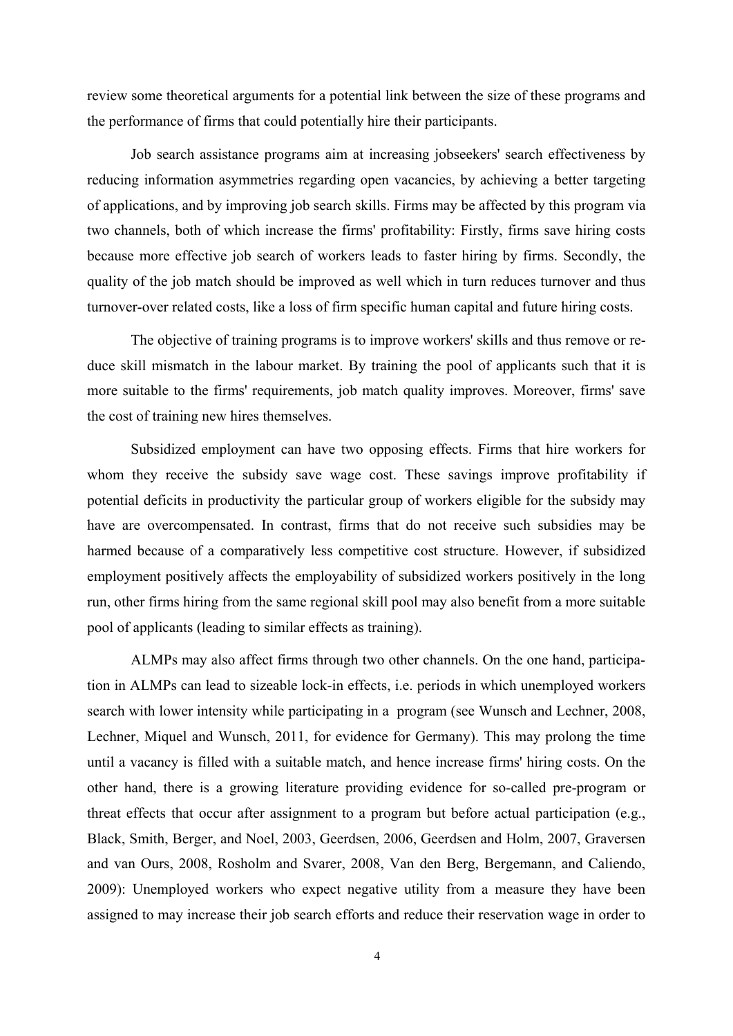review some theoretical arguments for a potential link between the size of these programs and the performance of firms that could potentially hire their participants.

Job search assistance programs aim at increasing jobseekers' search effectiveness by reducing information asymmetries regarding open vacancies, by achieving a better targeting of applications, and by improving job search skills. Firms may be affected by this program via two channels, both of which increase the firms' profitability: Firstly, firms save hiring costs because more effective job search of workers leads to faster hiring by firms. Secondly, the quality of the job match should be improved as well which in turn reduces turnover and thus turnover-over related costs, like a loss of firm specific human capital and future hiring costs.

The objective of training programs is to improve workers' skills and thus remove or reduce skill mismatch in the labour market. By training the pool of applicants such that it is more suitable to the firms' requirements, job match quality improves. Moreover, firms' save the cost of training new hires themselves.

Subsidized employment can have two opposing effects. Firms that hire workers for whom they receive the subsidy save wage cost. These savings improve profitability if potential deficits in productivity the particular group of workers eligible for the subsidy may have are overcompensated. In contrast, firms that do not receive such subsidies may be harmed because of a comparatively less competitive cost structure. However, if subsidized employment positively affects the employability of subsidized workers positively in the long run, other firms hiring from the same regional skill pool may also benefit from a more suitable pool of applicants (leading to similar effects as training).

ALMPs may also affect firms through two other channels. On the one hand, participation in ALMPs can lead to sizeable lock-in effects, i.e. periods in which unemployed workers search with lower intensity while participating in a program (see Wunsch and Lechner, 2008, Lechner, Miquel and Wunsch, 2011, for evidence for Germany). This may prolong the time until a vacancy is filled with a suitable match, and hence increase firms' hiring costs. On the other hand, there is a growing literature providing evidence for so-called pre-program or threat effects that occur after assignment to a program but before actual participation (e.g., Black, Smith, Berger, and Noel, 2003, Geerdsen, 2006, Geerdsen and Holm, 2007, Graversen and van Ours, 2008, Rosholm and Svarer, 2008, Van den Berg, Bergemann, and Caliendo, 2009): Unemployed workers who expect negative utility from a measure they have been assigned to may increase their job search efforts and reduce their reservation wage in order to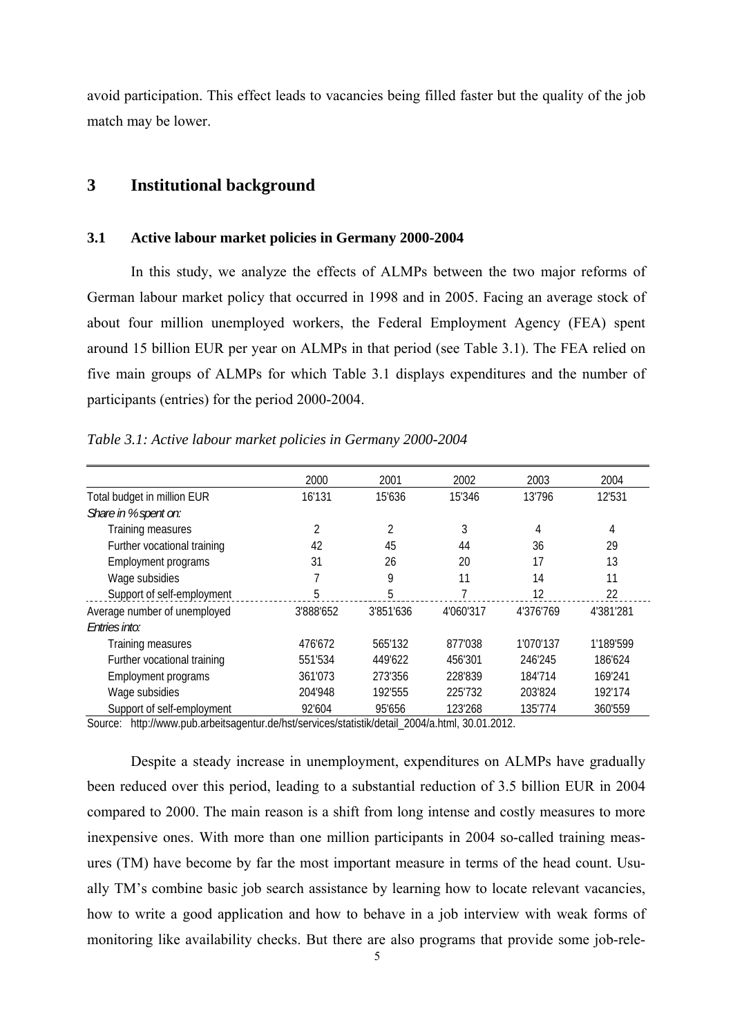avoid participation. This effect leads to vacancies being filled faster but the quality of the job match may be lower.

## **3 Institutional background**

#### **3.1 Active labour market policies in Germany 2000-2004**

In this study, we analyze the effects of ALMPs between the two major reforms of German labour market policy that occurred in 1998 and in 2005. Facing an average stock of about four million unemployed workers, the Federal Employment Agency (FEA) spent around 15 billion EUR per year on ALMPs in that period (see Table 3.1). The FEA relied on five main groups of ALMPs for which Table 3.1 displays expenditures and the number of participants (entries) for the period 2000-2004.

|                              | 2000      | 2001      | 2002      | 2003      | 2004      |
|------------------------------|-----------|-----------|-----------|-----------|-----------|
| Total budget in million EUR  | 16'131    | 15'636    | 15'346    | 13'796    | 12'531    |
| Share in % spent on:         |           |           |           |           |           |
| Training measures            | 2         | 2         | 3         | 4         | 4         |
| Further vocational training  | 42        | 45        | 44        | 36        | 29        |
| Employment programs          | 31        | 26        | 20        | 17        | 13        |
| Wage subsidies               | 7         | 9         | 11        | 14        | 11        |
| Support of self-employment   | 5         | 5         | 7         | 12        | 22        |
| Average number of unemployed | 3'888'652 | 3'851'636 | 4'060'317 | 4'376'769 | 4'381'281 |
| Entries into:                |           |           |           |           |           |
| Training measures            | 476'672   | 565'132   | 877'038   | 1'070'137 | 1'189'599 |
| Further vocational training  | 551'534   | 449'622   | 456'301   | 246'245   | 186'624   |
| Employment programs          | 361'073   | 273'356   | 228'839   | 184'714   | 169'241   |
| Wage subsidies               | 204'948   | 192'555   | 225'732   | 203'824   | 192'174   |
| Support of self-employment   | 92'604    | 95'656    | 123'268   | 135'774   | 360'559   |

*Table 3.1: Active labour market policies in Germany 2000-2004* 

Source: http://www.pub.arbeitsagentur.de/hst/services/statistik/detail\_2004/a.html, 30.01.2012.

Despite a steady increase in unemployment, expenditures on ALMPs have gradually been reduced over this period, leading to a substantial reduction of 3.5 billion EUR in 2004 compared to 2000. The main reason is a shift from long intense and costly measures to more inexpensive ones. With more than one million participants in 2004 so-called training measures (TM) have become by far the most important measure in terms of the head count. Usually TM's combine basic job search assistance by learning how to locate relevant vacancies, how to write a good application and how to behave in a job interview with weak forms of monitoring like availability checks. But there are also programs that provide some job-rele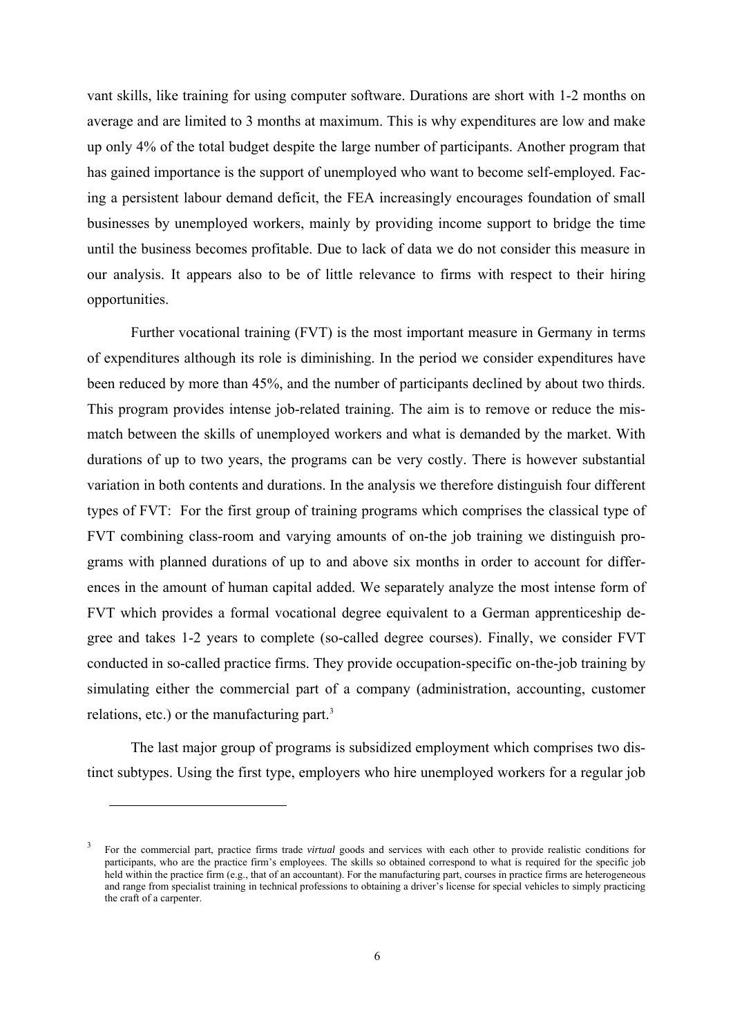vant skills, like training for using computer software. Durations are short with 1-2 months on average and are limited to 3 months at maximum. This is why expenditures are low and make up only 4% of the total budget despite the large number of participants. Another program that has gained importance is the support of unemployed who want to become self-employed. Facing a persistent labour demand deficit, the FEA increasingly encourages foundation of small businesses by unemployed workers, mainly by providing income support to bridge the time until the business becomes profitable. Due to lack of data we do not consider this measure in our analysis. It appears also to be of little relevance to firms with respect to their hiring opportunities.

Further vocational training (FVT) is the most important measure in Germany in terms of expenditures although its role is diminishing. In the period we consider expenditures have been reduced by more than 45%, and the number of participants declined by about two thirds. This program provides intense job-related training. The aim is to remove or reduce the mismatch between the skills of unemployed workers and what is demanded by the market. With durations of up to two years, the programs can be very costly. There is however substantial variation in both contents and durations. In the analysis we therefore distinguish four different types of FVT: For the first group of training programs which comprises the classical type of FVT combining class-room and varying amounts of on-the job training we distinguish programs with planned durations of up to and above six months in order to account for differences in the amount of human capital added. We separately analyze the most intense form of FVT which provides a formal vocational degree equivalent to a German apprenticeship degree and takes 1-2 years to complete (so-called degree courses). Finally, we consider FVT conducted in so-called practice firms. They provide occupation-specific on-the-job training by simulating either the commercial part of a company (administration, accounting, customer relations, etc.) or the manufacturing part.<sup>[3](#page-6-0)</sup>

The last major group of programs is subsidized employment which comprises two distinct subtypes. Using the first type, employers who hire unemployed workers for a regular job

 $\overline{a}$ 

<span id="page-6-0"></span><sup>3</sup> For the commercial part, practice firms trade *virtual* goods and services with each other to provide realistic conditions for participants, who are the practice firm's employees. The skills so obtained correspond to what is required for the specific job held within the practice firm (e.g., that of an accountant). For the manufacturing part, courses in practice firms are heterogeneous and range from specialist training in technical professions to obtaining a driver's license for special vehicles to simply practicing the craft of a carpenter.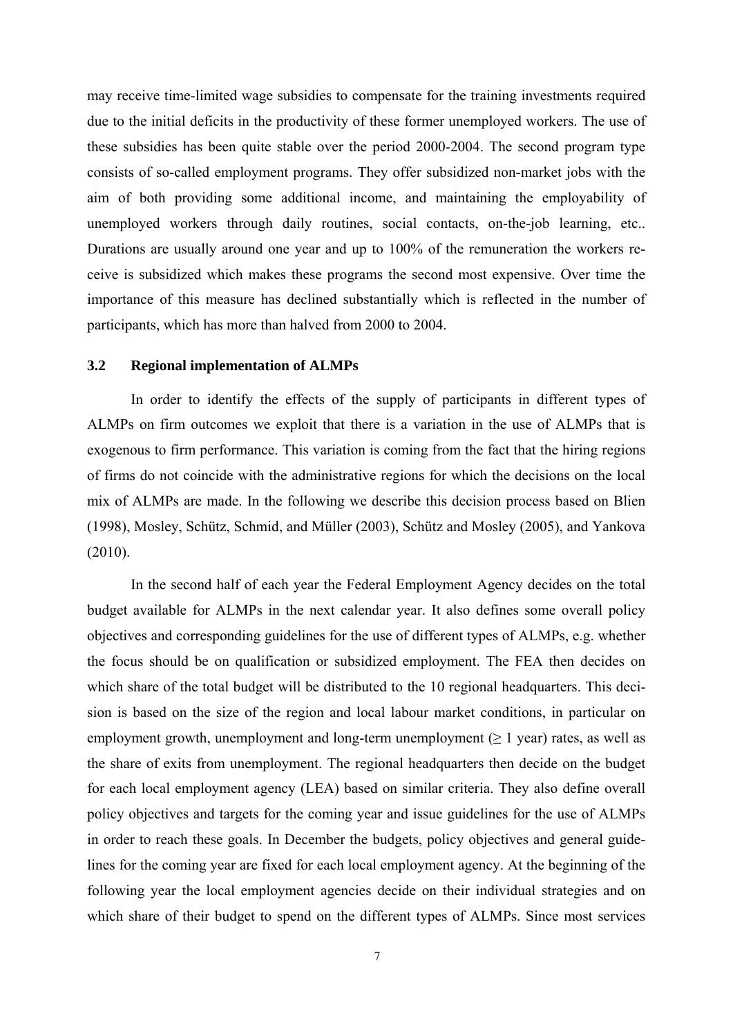may receive time-limited wage subsidies to compensate for the training investments required due to the initial deficits in the productivity of these former unemployed workers. The use of these subsidies has been quite stable over the period 2000-2004. The second program type consists of so-called employment programs. They offer subsidized non-market jobs with the aim of both providing some additional income, and maintaining the employability of unemployed workers through daily routines, social contacts, on-the-job learning, etc.. Durations are usually around one year and up to 100% of the remuneration the workers receive is subsidized which makes these programs the second most expensive. Over time the importance of this measure has declined substantially which is reflected in the number of participants, which has more than halved from 2000 to 2004.

#### **3.2 Regional implementation of ALMPs**

In order to identify the effects of the supply of participants in different types of ALMPs on firm outcomes we exploit that there is a variation in the use of ALMPs that is exogenous to firm performance. This variation is coming from the fact that the hiring regions of firms do not coincide with the administrative regions for which the decisions on the local mix of ALMPs are made. In the following we describe this decision process based on Blien (1998), Mosley, Schütz, Schmid, and Müller (2003), Schütz and Mosley (2005), and Yankova (2010).

In the second half of each year the Federal Employment Agency decides on the total budget available for ALMPs in the next calendar year. It also defines some overall policy objectives and corresponding guidelines for the use of different types of ALMPs, e.g. whether the focus should be on qualification or subsidized employment. The FEA then decides on which share of the total budget will be distributed to the 10 regional headquarters. This decision is based on the size of the region and local labour market conditions, in particular on employment growth, unemployment and long-term unemployment ( $\geq 1$  year) rates, as well as the share of exits from unemployment. The regional headquarters then decide on the budget for each local employment agency (LEA) based on similar criteria. They also define overall policy objectives and targets for the coming year and issue guidelines for the use of ALMPs in order to reach these goals. In December the budgets, policy objectives and general guidelines for the coming year are fixed for each local employment agency. At the beginning of the following year the local employment agencies decide on their individual strategies and on which share of their budget to spend on the different types of ALMPs. Since most services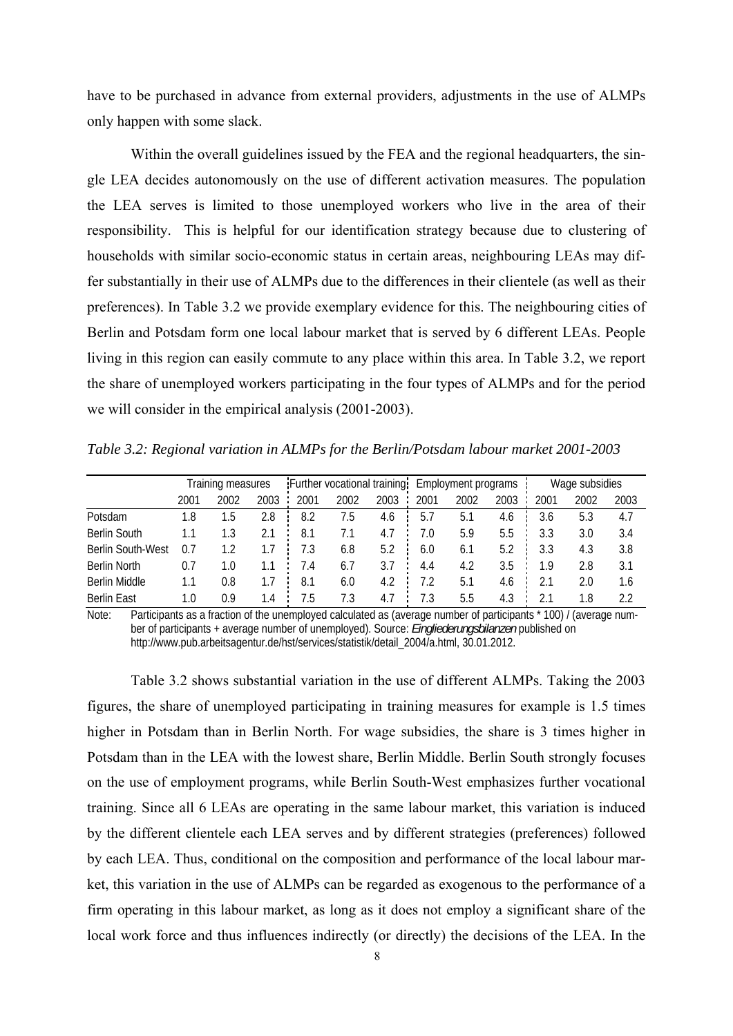have to be purchased in advance from external providers, adjustments in the use of ALMPs only happen with some slack.

Within the overall guidelines issued by the FEA and the regional headquarters, the single LEA decides autonomously on the use of different activation measures. The population the LEA serves is limited to those unemployed workers who live in the area of their responsibility. This is helpful for our identification strategy because due to clustering of households with similar socio-economic status in certain areas, neighbouring LEAs may differ substantially in their use of ALMPs due to the differences in their clientele (as well as their preferences). In Table 3.2 we provide exemplary evidence for this. The neighbouring cities of Berlin and Potsdam form one local labour market that is served by 6 different LEAs. People living in this region can easily commute to any place within this area. In Table 3.2, we report the share of unemployed workers participating in the four types of ALMPs and for the period we will consider in the empirical analysis (2001-2003).

*Table 3.2: Regional variation in ALMPs for the Berlin/Potsdam labour market 2001-2003* 

|                          | Training measures |      |      | Further vocational training: |      |      |      | <b>Employment programs</b> |      |      | Wage subsidies |      |  |
|--------------------------|-------------------|------|------|------------------------------|------|------|------|----------------------------|------|------|----------------|------|--|
|                          | 2001              | 2002 | 2003 | 2001                         | 2002 | 2003 | 2001 | 2002                       | 2003 | 2001 | 2002           | 2003 |  |
| Potsdam                  | 1.8               | . .5 | 2.8  | 8.2                          | 7.5  | 4.6  | 5.7  | 5.1                        | 4.6  | 3.6  | 5.3            | 4.7  |  |
| <b>Berlin South</b>      |                   | 1.3  | 2.1  | 8.1                          | 7.1  | 4.7  | 7.0  | 5.9                        | 5.5  | 3.3  | 3.0            | 3.4  |  |
| <b>Berlin South-West</b> | 0.7               | 1.2  | 1.7  | 7.3                          | 6.8  | 5.2  | 6.0  | 6.1                        | 5.2  | 3.3  | 4.3            | 3.8  |  |
| Berlin North             | 0.7               | 1.0  | 1.1  | 7.4                          | 6.7  | 3.7  | 4.4  | 4.2                        | 3.5  | 1.9  | 2.8            | 3.1  |  |
| Berlin Middle            | 1.1               | 0.8  | 1.7  | 8.1                          | 6.0  | 4.2  | 7.2  | 5.1                        | 4.6  | 2.1  | 2.0            | 1.6  |  |
| <b>Berlin East</b>       | 1.0               | 0.9  | 1.4  | 7.5                          | 7.3  | 4.7  | 7.3  | 5.5                        | 4.3  | 21   | 1.8            | 2.2  |  |

Note: Participants as a fraction of the unemployed calculated as (average number of participants \* 100) / (average number of participants + average number of unemployed). Source: *Eingliederungsbilanzen* published on http://www.pub.arbeitsagentur.de/hst/services/statistik/detail\_2004/a.html, 30.01.2012.

Table 3.2 shows substantial variation in the use of different ALMPs. Taking the 2003 figures, the share of unemployed participating in training measures for example is 1.5 times higher in Potsdam than in Berlin North. For wage subsidies, the share is 3 times higher in Potsdam than in the LEA with the lowest share, Berlin Middle. Berlin South strongly focuses on the use of employment programs, while Berlin South-West emphasizes further vocational training. Since all 6 LEAs are operating in the same labour market, this variation is induced by the different clientele each LEA serves and by different strategies (preferences) followed by each LEA. Thus, conditional on the composition and performance of the local labour market, this variation in the use of ALMPs can be regarded as exogenous to the performance of a firm operating in this labour market, as long as it does not employ a significant share of the local work force and thus influences indirectly (or directly) the decisions of the LEA. In the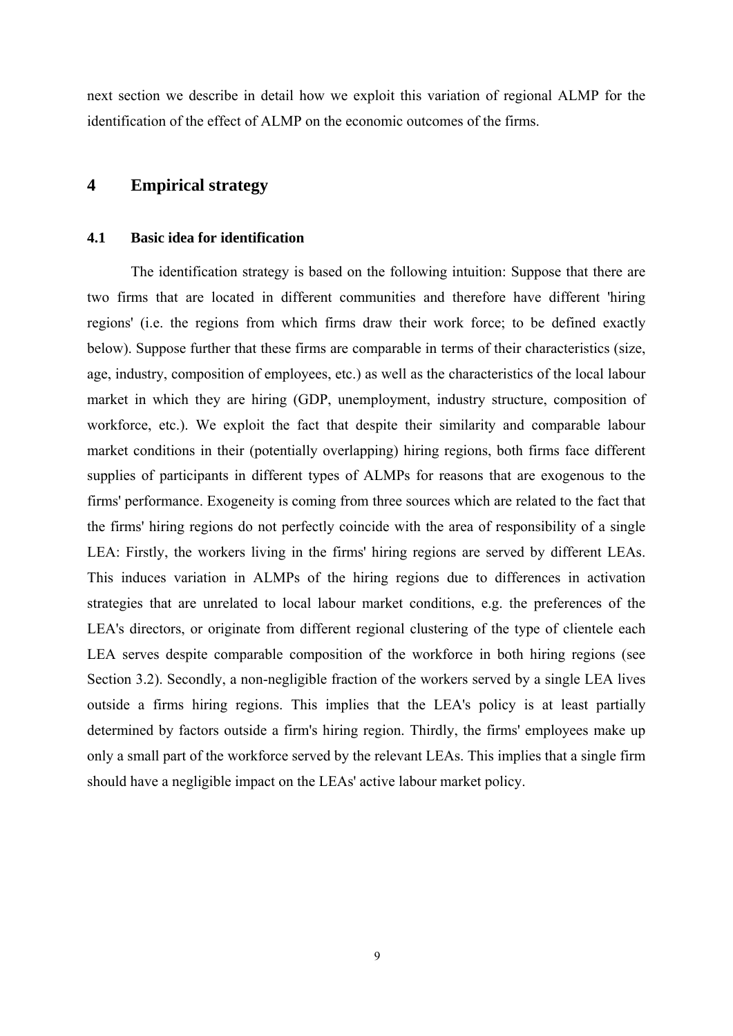next section we describe in detail how we exploit this variation of regional ALMP for the identification of the effect of ALMP on the economic outcomes of the firms.

## **4 Empirical strategy**

#### **4.1 Basic idea for identification**

The identification strategy is based on the following intuition: Suppose that there are two firms that are located in different communities and therefore have different 'hiring regions' (i.e. the regions from which firms draw their work force; to be defined exactly below). Suppose further that these firms are comparable in terms of their characteristics (size, age, industry, composition of employees, etc.) as well as the characteristics of the local labour market in which they are hiring (GDP, unemployment, industry structure, composition of workforce, etc.). We exploit the fact that despite their similarity and comparable labour market conditions in their (potentially overlapping) hiring regions, both firms face different supplies of participants in different types of ALMPs for reasons that are exogenous to the firms' performance. Exogeneity is coming from three sources which are related to the fact that the firms' hiring regions do not perfectly coincide with the area of responsibility of a single LEA: Firstly, the workers living in the firms' hiring regions are served by different LEAs. This induces variation in ALMPs of the hiring regions due to differences in activation strategies that are unrelated to local labour market conditions, e.g. the preferences of the LEA's directors, or originate from different regional clustering of the type of clientele each LEA serves despite comparable composition of the workforce in both hiring regions (see Section 3.2). Secondly, a non-negligible fraction of the workers served by a single LEA lives outside a firms hiring regions. This implies that the LEA's policy is at least partially determined by factors outside a firm's hiring region. Thirdly, the firms' employees make up only a small part of the workforce served by the relevant LEAs. This implies that a single firm should have a negligible impact on the LEAs' active labour market policy.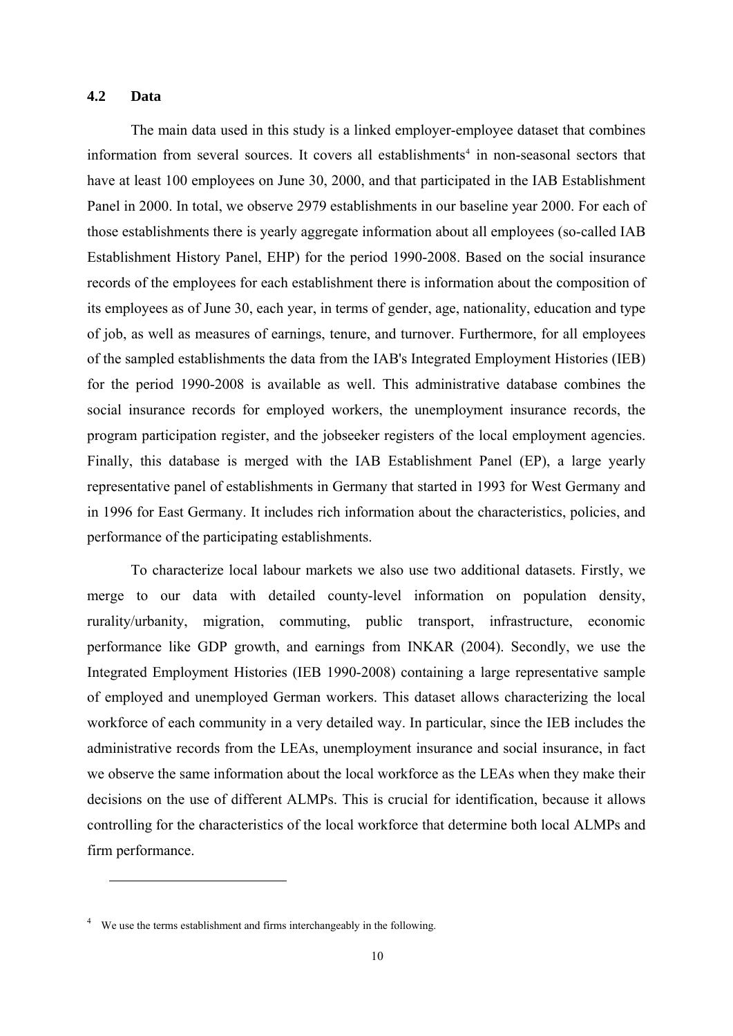#### **4.2 Data**

The main data used in this study is a linked employer-employee dataset that combines information from several sources. It covers all establishments<sup>[4](#page-10-0)</sup> in non-seasonal sectors that have at least 100 employees on June 30, 2000, and that participated in the IAB Establishment Panel in 2000. In total, we observe 2979 establishments in our baseline year 2000. For each of those establishments there is yearly aggregate information about all employees (so-called IAB Establishment History Panel, EHP) for the period 1990-2008. Based on the social insurance records of the employees for each establishment there is information about the composition of its employees as of June 30, each year, in terms of gender, age, nationality, education and type of job, as well as measures of earnings, tenure, and turnover. Furthermore, for all employees of the sampled establishments the data from the IAB's Integrated Employment Histories (IEB) for the period 1990-2008 is available as well. This administrative database combines the social insurance records for employed workers, the unemployment insurance records, the program participation register, and the jobseeker registers of the local employment agencies. Finally, this database is merged with the IAB Establishment Panel (EP), a large yearly representative panel of establishments in Germany that started in 1993 for West Germany and in 1996 for East Germany. It includes rich information about the characteristics, policies, and performance of the participating establishments.

To characterize local labour markets we also use two additional datasets. Firstly, we merge to our data with detailed county-level information on population density, rurality/urbanity, migration, commuting, public transport, infrastructure, economic performance like GDP growth, and earnings from INKAR (2004). Secondly, we use the Integrated Employment Histories (IEB 1990-2008) containing a large representative sample of employed and unemployed German workers. This dataset allows characterizing the local workforce of each community in a very detailed way. In particular, since the IEB includes the administrative records from the LEAs, unemployment insurance and social insurance, in fact we observe the same information about the local workforce as the LEAs when they make their decisions on the use of different ALMPs. This is crucial for identification, because it allows controlling for the characteristics of the local workforce that determine both local ALMPs and firm performance.

 $\overline{a}$ 

<span id="page-10-0"></span><sup>&</sup>lt;sup>4</sup> We use the terms establishment and firms interchangeably in the following.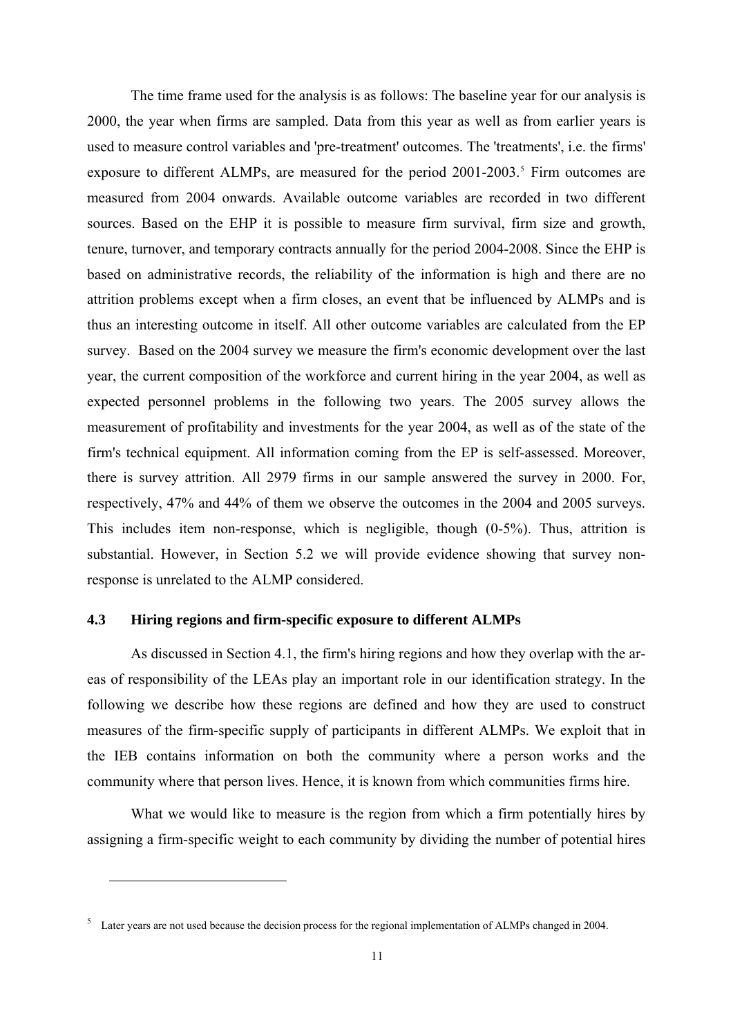The time frame used for the analysis is as follows: The baseline year for our analysis is 2000, the year when firms are sampled. Data from this year as well as from earlier years is used to measure control variables and 'pre-treatment' outcomes. The 'treatments', i.e. the firms' exposure to different ALMPs, are measured for the period  $2001-2003$ .<sup>[5](#page-11-0)</sup> Firm outcomes are measured from 2004 onwards. Available outcome variables are recorded in two different sources. Based on the EHP it is possible to measure firm survival, firm size and growth, tenure, turnover, and temporary contracts annually for the period 2004-2008. Since the EHP is based on administrative records, the reliability of the information is high and there are no attrition problems except when a firm closes, an event that be influenced by ALMPs and is thus an interesting outcome in itself. All other outcome variables are calculated from the EP survey. Based on the 2004 survey we measure the firm's economic development over the last year, the current composition of the workforce and current hiring in the year 2004, as well as expected personnel problems in the following two years. The 2005 survey allows the measurement of profitability and investments for the year 2004, as well as of the state of the firm's technical equipment. All information coming from the EP is self-assessed. Moreover, there is survey attrition. All 2979 firms in our sample answered the survey in 2000. For, respectively, 47% and 44% of them we observe the outcomes in the 2004 and 2005 surveys. This includes item non-response, which is negligible, though (0-5%). Thus, attrition is substantial. However, in Section 5.2 we will provide evidence showing that survey nonresponse is unrelated to the ALMP considered.

#### **4.3 Hiring regions and firm-specific exposure to different ALMPs**

As discussed in Section 4.1, the firm's hiring regions and how they overlap with the areas of responsibility of the LEAs play an important role in our identification strategy. In the following we describe how these regions are defined and how they are used to construct measures of the firm-specific supply of participants in different ALMPs. We exploit that in the IEB contains information on both the community where a person works and the community where that person lives. Hence, it is known from which communities firms hire.

What we would like to measure is the region from which a firm potentially hires by assigning a firm-specific weight to each community by dividing the number of potential hires

 $\overline{a}$ 

<span id="page-11-0"></span><sup>&</sup>lt;sup>5</sup> Later years are not used because the decision process for the regional implementation of ALMPs changed in 2004.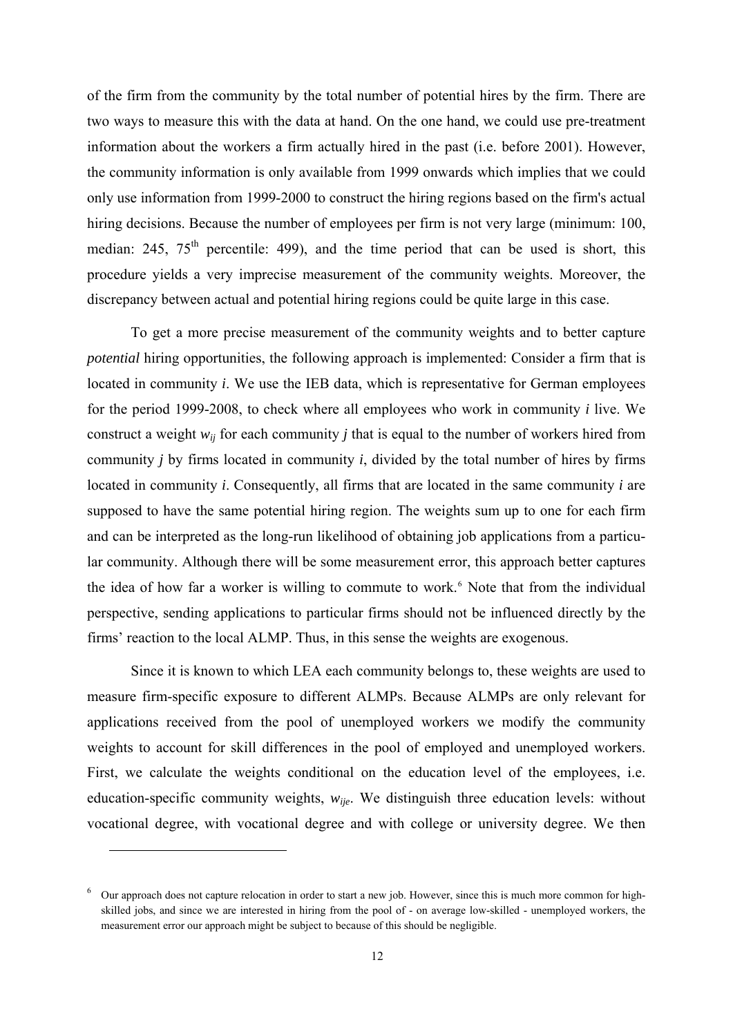of the firm from the community by the total number of potential hires by the firm. There are two ways to measure this with the data at hand. On the one hand, we could use pre-treatment information about the workers a firm actually hired in the past (i.e. before 2001). However, the community information is only available from 1999 onwards which implies that we could only use information from 1999-2000 to construct the hiring regions based on the firm's actual hiring decisions. Because the number of employees per firm is not very large (minimum: 100, median:  $245$ ,  $75<sup>th</sup>$  percentile: 499), and the time period that can be used is short, this procedure yields a very imprecise measurement of the community weights. Moreover, the discrepancy between actual and potential hiring regions could be quite large in this case.

To get a more precise measurement of the community weights and to better capture *potential* hiring opportunities, the following approach is implemented: Consider a firm that is located in community *i*. We use the IEB data, which is representative for German employees for the period 1999-2008, to check where all employees who work in community *i* live. We construct a weight  $w_{ij}$  for each community *j* that is equal to the number of workers hired from community *j* by firms located in community *i*, divided by the total number of hires by firms located in community *i*. Consequently, all firms that are located in the same community *i* are supposed to have the same potential hiring region. The weights sum up to one for each firm and can be interpreted as the long-run likelihood of obtaining job applications from a particular community. Although there will be some measurement error, this approach better captures the idea of how far a worker is willing to commute to work.<sup>[6](#page-12-0)</sup> Note that from the individual perspective, sending applications to particular firms should not be influenced directly by the firms' reaction to the local ALMP. Thus, in this sense the weights are exogenous.

Since it is known to which LEA each community belongs to, these weights are used to measure firm-specific exposure to different ALMPs. Because ALMPs are only relevant for applications received from the pool of unemployed workers we modify the community weights to account for skill differences in the pool of employed and unemployed workers. First, we calculate the weights conditional on the education level of the employees, i.e. education-specific community weights, *wije*. We distinguish three education levels: without vocational degree, with vocational degree and with college or university degree. We then

l

<span id="page-12-0"></span><sup>&</sup>lt;sup>6</sup> Our approach does not capture relocation in order to start a new job. However, since this is much more common for highskilled jobs, and since we are interested in hiring from the pool of - on average low-skilled - unemployed workers, the measurement error our approach might be subject to because of this should be negligible.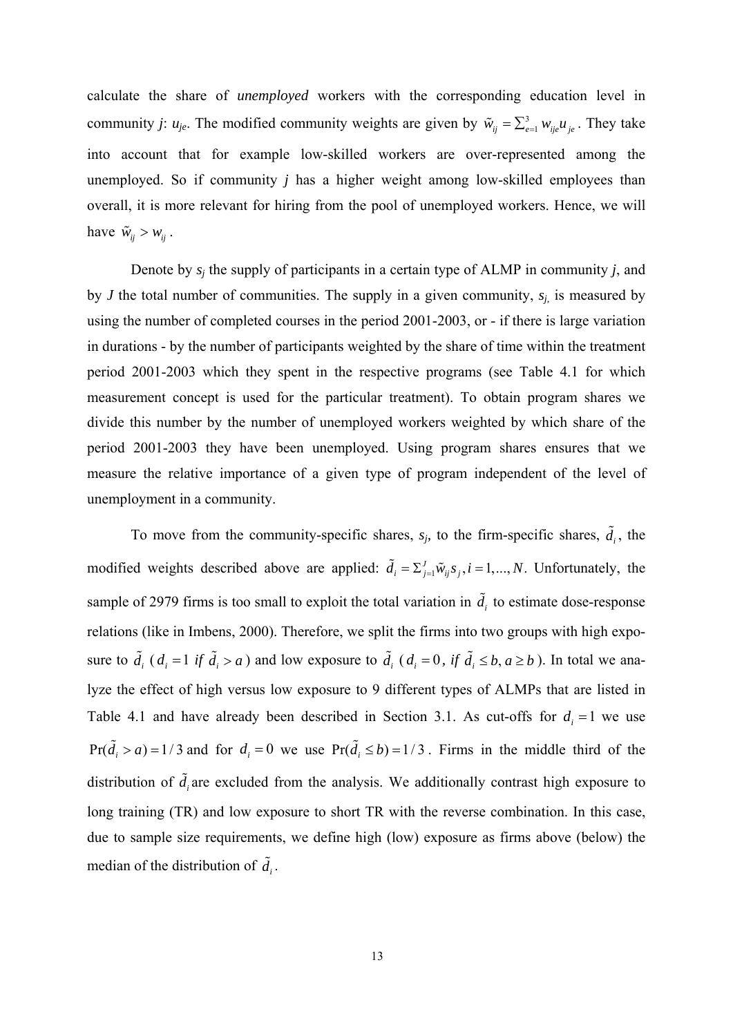community *j*:  $u_{je}$ . The modified community weights are given by  $\tilde{w}_{ij} = \sum_{e=1}^{3} w_{ij} u_{je}$ . They take calculate the share of *unemployed* workers with the corresponding education level in into account that for example low-skilled workers are over-represented among the unemployed. So if community *j* has a higher weight among low-skilled employees than overall, it is more relevant for hiring from the pool of unemployed workers. Hence, we will have  $\tilde{w}_{ij} > w_{ij}$ .

Denote by *sj* the supply of participants in a certain type of ALMP in community *j*, and by *J* the total number of communities. The supply in a given community,  $s_i$  is measured by using the number of completed courses in the period 2001-2003, or - if there is large variation in durations - by the number of participants weighted by the share of time within the treatment period 2001-2003 which they spent in the respective programs (see Table 4.1 for which measurement concept is used for the particular treatment). To obtain program shares we divide this number by the number of unemployed workers weighted by which share of the period 2001-2003 they have been unemployed. Using program shares ensures that we measure the relative importance of a given type of program independent of the level of unemployment in a community.

modified weights described above are applied:  $\tilde{d}_i = \sum_{j=1}^J \tilde{w}_{ij} s_j$ ,  $i = 1, ..., N$ . Unfortunately, the To move from the community-specific shares,  $s_j$ , to the firm-specific shares,  $\tilde{d}_i$ , the sample of 2979 firms is too small to exploit the total variation in  $\tilde{d}_i$  to estimate dose-response relations (like in Imbens, 2000). Therefore, we split the firms into two groups with high exposure to  $\tilde{d}_i$  ( $d_i = 1$  *if*  $\tilde{d}_i > a$ ) and low exposure to  $\tilde{d}_i$  ( $d_i = 0$ , *if*  $\tilde{d}_i \leq b, a \geq b$ ). In total we ana- $Pr(\tilde{d}_i > a) = 1/3$  and for  $d_i = 0$  we use  $Pr(\tilde{d}_i \le b) = 1/3$ . Firms in the middle third of the lyze the effect of high versus low exposure to 9 different types of ALMPs that are listed in Table 4.1 and have already been described in Section 3.1. As cut-offs for  $d_i = 1$  we use distribution of  $\tilde{d}_i$  are excluded from the analysis. We additionally contrast high exposure to long training (TR) and low exposure to short TR with the reverse combination. In this case, due to sample size requirements, we define high (low) exposure as firms above (below) the median of the distribution of  $\tilde{d}_i$ .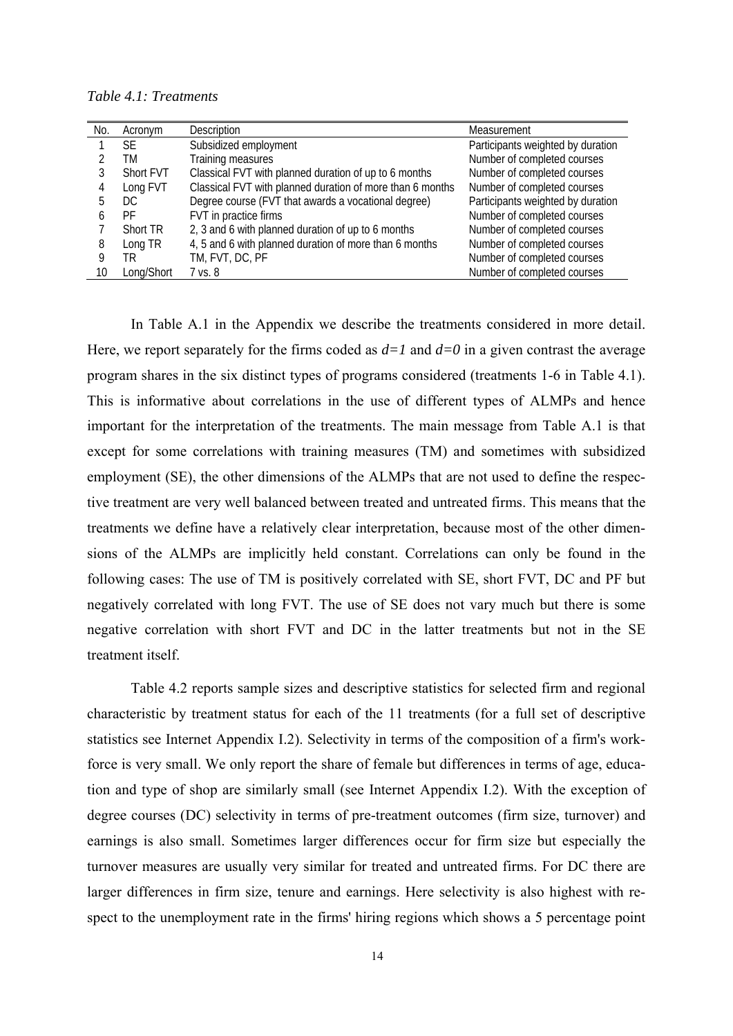*Table 4.1: Treatments* 

| No. | Acronym    | Description                                               | Measurement                       |
|-----|------------|-----------------------------------------------------------|-----------------------------------|
|     | SF.        | Subsidized employment                                     | Participants weighted by duration |
|     | ТM         | Training measures                                         | Number of completed courses       |
|     | Short FVT  | Classical FVT with planned duration of up to 6 months     | Number of completed courses       |
| 4   | Long FVT   | Classical FVT with planned duration of more than 6 months | Number of completed courses       |
|     | DC.        | Degree course (FVT that awards a vocational degree)       | Participants weighted by duration |
|     | PF         | FVT in practice firms                                     | Number of completed courses       |
|     | Short TR   | 2, 3 and 6 with planned duration of up to 6 months        | Number of completed courses       |
| 8   | Long TR    | 4, 5 and 6 with planned duration of more than 6 months    | Number of completed courses       |
|     | TR.        | TM, FVT, DC, PF                                           | Number of completed courses       |
| 10  | Long/Short | 7 vs. 8                                                   | Number of completed courses       |

In Table A.1 in the Appendix we describe the treatments considered in more detail. Here, we report separately for the firms coded as  $d=1$  and  $d=0$  in a given contrast the average program shares in the six distinct types of programs considered (treatments 1-6 in Table 4.1). This is informative about correlations in the use of different types of ALMPs and hence important for the interpretation of the treatments. The main message from Table A.1 is that except for some correlations with training measures (TM) and sometimes with subsidized employment (SE), the other dimensions of the ALMPs that are not used to define the respective treatment are very well balanced between treated and untreated firms. This means that the treatments we define have a relatively clear interpretation, because most of the other dimensions of the ALMPs are implicitly held constant. Correlations can only be found in the following cases: The use of TM is positively correlated with SE, short FVT, DC and PF but negatively correlated with long FVT. The use of SE does not vary much but there is some negative correlation with short FVT and DC in the latter treatments but not in the SE treatment itself.

Table 4.2 reports sample sizes and descriptive statistics for selected firm and regional characteristic by treatment status for each of the 11 treatments (for a full set of descriptive statistics see Internet Appendix I.2). Selectivity in terms of the composition of a firm's workforce is very small. We only report the share of female but differences in terms of age, education and type of shop are similarly small (see Internet Appendix I.2). With the exception of degree courses (DC) selectivity in terms of pre-treatment outcomes (firm size, turnover) and earnings is also small. Sometimes larger differences occur for firm size but especially the turnover measures are usually very similar for treated and untreated firms. For DC there are larger differences in firm size, tenure and earnings. Here selectivity is also highest with respect to the unemployment rate in the firms' hiring regions which shows a 5 percentage point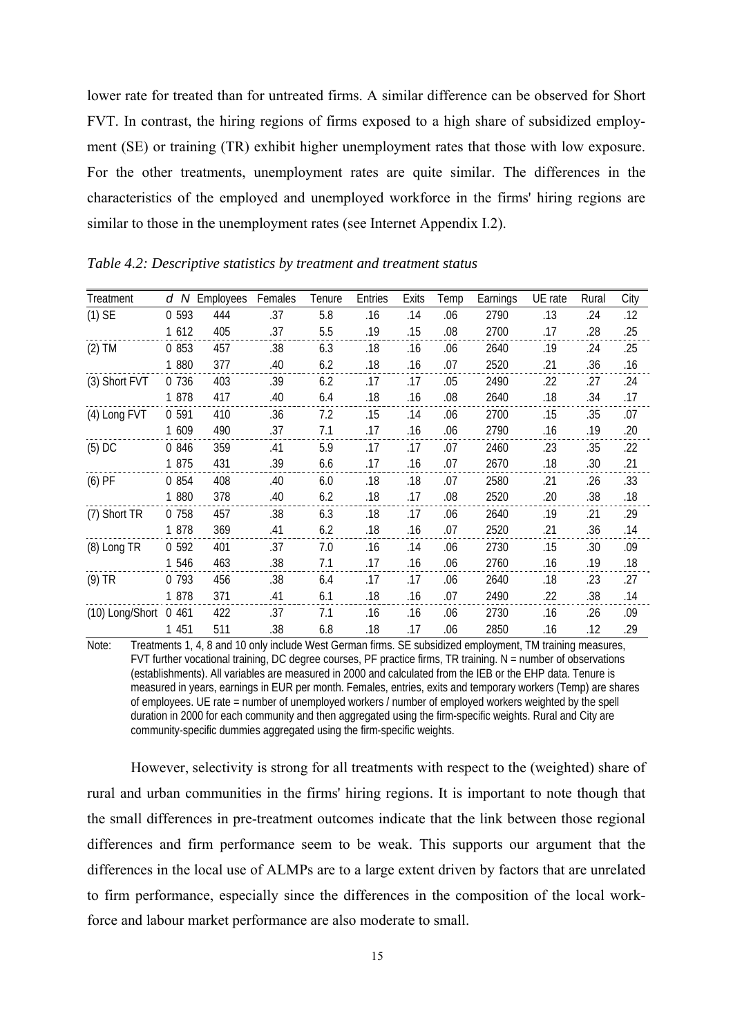lower rate for treated than for untreated firms. A similar difference can be observed for Short FVT. In contrast, the hiring regions of firms exposed to a high share of subsidized employment (SE) or training (TR) exhibit higher unemployment rates that those with low exposure. For the other treatments, unemployment rates are quite similar. The differences in the characteristics of the employed and unemployed workforce in the firms' hiring regions are similar to those in the unemployment rates (see Internet Appendix I.2).

| Treatment       | d N     | Employees | Females | Tenure | Entries | Exits | Temp | Earnings | UE rate | Rural | City |
|-----------------|---------|-----------|---------|--------|---------|-------|------|----------|---------|-------|------|
| $(1)$ SE        | 0 5 9 3 | 444       | .37     | 5.8    | .16     | .14   | .06  | 2790     | .13     | .24   | .12  |
|                 | 1 6 1 2 | 405       | .37     | 5.5    | .19     | .15   | .08  | 2700     | .17     | .28   | .25  |
| $(2)$ TM        | 0 853   | 457       | .38     | 6.3    | .18     | .16   | .06  | 2640     | .19     | .24   | .25  |
|                 | 1 880   | 377       | .40     | 6.2    | .18     | .16   | .07  | 2520     | .21     | .36   | .16  |
| (3) Short FVT   | 0 7 3 6 | 403       | .39     | 6.2    | .17     | .17   | .05  | 2490     | .22     | .27   | .24  |
|                 | 1 878   | 417       | .40     | 6.4    | .18     | .16   | .08  | 2640     | .18     | .34   | .17  |
| (4) Long FVT    | 0 591   | 410       | .36     | 7.2    | .15     | .14   | .06  | 2700     | .15     | .35   | .07  |
|                 | 1 609   | 490       | .37     | 7.1    | .17     | .16   | .06  | 2790     | .16     | .19   | .20  |
| $(5)$ DC        | 0 846   | 359       | .41     | 5.9    | .17     | .17   | .07  | 2460     | .23     | .35   | .22  |
|                 | 1 875   | 431       | .39     | 6.6    | .17     | .16   | .07  | 2670     | .18     | .30   | .21  |
| $(6)$ PF        | 0 854   | 408       | .40     | 6.0    | .18     | .18   | .07  | 2580     | .21     | .26   | .33  |
|                 | 1 880   | 378       | .40     | 6.2    | .18     | .17   | .08  | 2520     | .20     | .38   | .18  |
| (7) Short TR    | 0 758   | 457       | .38     | 6.3    | .18     | .17   | .06  | 2640     | .19     | .21   | .29  |
|                 | 1 878   | 369       | .41     | 6.2    | .18     | .16   | .07  | 2520     | .21     | .36   | .14  |
| (8) Long TR     | 0 5 9 2 | 401       | .37     | 7.0    | .16     | .14   | .06  | 2730     | .15     | .30   | .09  |
|                 | 1 546   | 463       | .38     | 7.1    | .17     | .16   | .06  | 2760     | .16     | .19   | .18  |
| $(9)$ TR        | 0 7 9 3 | 456       | .38     | 6.4    | .17     | .17   | .06  | 2640     | .18     | .23   | .27  |
|                 | 1 878   | 371       | .41     | 6.1    | .18     | .16   | .07  | 2490     | .22     | .38   | .14  |
| (10) Long/Short | 0 4 6 1 | 422       | .37     | 7.1    | .16     | .16   | .06  | 2730     | .16     | .26   | .09  |
|                 | 1 451   | 511       | .38     | 6.8    | .18     | .17   | .06  | 2850     | .16     | .12   | .29  |

*Table 4.2: Descriptive statistics by treatment and treatment status* 

Note: Treatments 1, 4, 8 and 10 only include West German firms. SE subsidized employment, TM training measures, FVT further vocational training, DC degree courses, PF practice firms, TR training. N = number of observations (establishments). All variables are measured in 2000 and calculated from the IEB or the EHP data. Tenure is measured in years, earnings in EUR per month. Females, entries, exits and temporary workers (Temp) are shares of employees. UE rate = number of unemployed workers / number of employed workers weighted by the spell duration in 2000 for each community and then aggregated using the firm-specific weights. Rural and City are community-specific dummies aggregated using the firm-specific weights.

However, selectivity is strong for all treatments with respect to the (weighted) share of rural and urban communities in the firms' hiring regions. It is important to note though that the small differences in pre-treatment outcomes indicate that the link between those regional differences and firm performance seem to be weak. This supports our argument that the differences in the local use of ALMPs are to a large extent driven by factors that are unrelated to firm performance, especially since the differences in the composition of the local workforce and labour market performance are also moderate to small.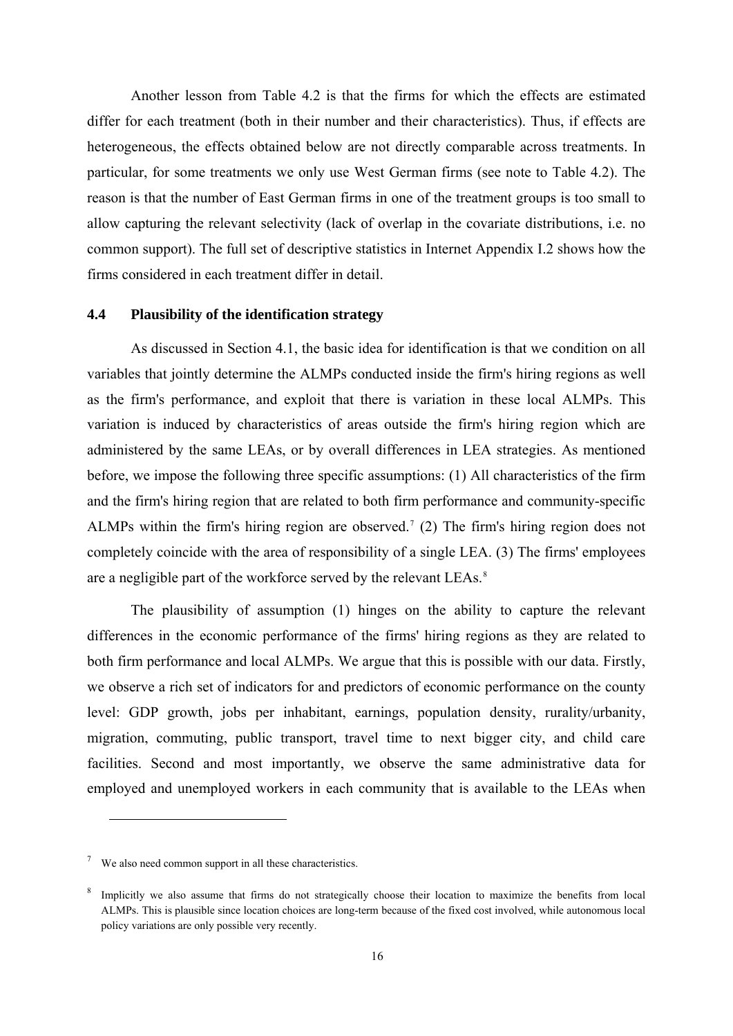Another lesson from Table 4.2 is that the firms for which the effects are estimated differ for each treatment (both in their number and their characteristics). Thus, if effects are heterogeneous, the effects obtained below are not directly comparable across treatments. In particular, for some treatments we only use West German firms (see note to Table 4.2). The reason is that the number of East German firms in one of the treatment groups is too small to allow capturing the relevant selectivity (lack of overlap in the covariate distributions, i.e. no common support). The full set of descriptive statistics in Internet Appendix I.2 shows how the firms considered in each treatment differ in detail.

#### **4.4 Plausibility of the identification strategy**

As discussed in Section 4.1, the basic idea for identification is that we condition on all variables that jointly determine the ALMPs conducted inside the firm's hiring regions as well as the firm's performance, and exploit that there is variation in these local ALMPs. This variation is induced by characteristics of areas outside the firm's hiring region which are administered by the same LEAs, or by overall differences in LEA strategies. As mentioned before, we impose the following three specific assumptions: (1) All characteristics of the firm and the firm's hiring region that are related to both firm performance and community-specific ALMPs within the firm's hiring region are observed.<sup>[7](#page-16-0)</sup> (2) The firm's hiring region does not completely coincide with the area of responsibility of a single LEA. (3) The firms' employees are a negligible part of the workforce served by the relevant LEAs.<sup>[8](#page-16-1)</sup>

The plausibility of assumption (1) hinges on the ability to capture the relevant differences in the economic performance of the firms' hiring regions as they are related to both firm performance and local ALMPs. We argue that this is possible with our data. Firstly, we observe a rich set of indicators for and predictors of economic performance on the county level: GDP growth, jobs per inhabitant, earnings, population density, rurality/urbanity, migration, commuting, public transport, travel time to next bigger city, and child care facilities. Second and most importantly, we observe the same administrative data for employed and unemployed workers in each community that is available to the LEAs when

l

<span id="page-16-0"></span> $\frac{7}{10}$  We also need common support in all these characteristics.

<span id="page-16-1"></span><sup>&</sup>lt;sup>8</sup> Implicitly we also assume that firms do not strategically choose their location to maximize the benefits from local ALMPs. This is plausible since location choices are long-term because of the fixed cost involved, while autonomous local policy variations are only possible very recently.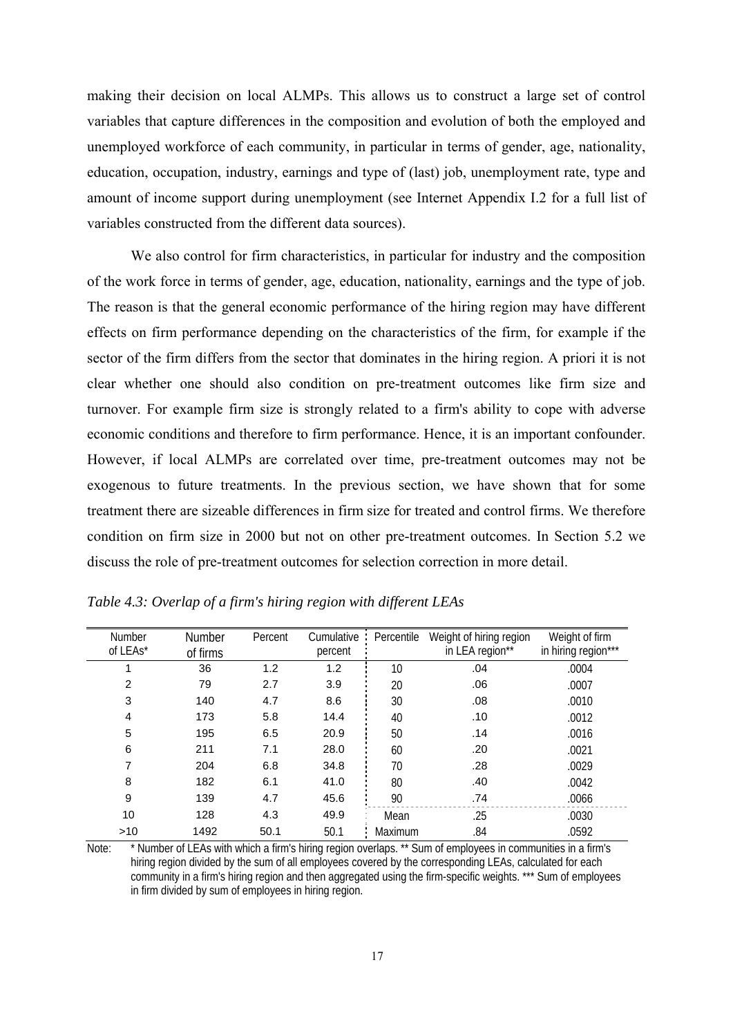making their decision on local ALMPs. This allows us to construct a large set of control variables that capture differences in the composition and evolution of both the employed and unemployed workforce of each community, in particular in terms of gender, age, nationality, education, occupation, industry, earnings and type of (last) job, unemployment rate, type and amount of income support during unemployment (see Internet Appendix I.2 for a full list of variables constructed from the different data sources).

We also control for firm characteristics, in particular for industry and the composition of the work force in terms of gender, age, education, nationality, earnings and the type of job. The reason is that the general economic performance of the hiring region may have different effects on firm performance depending on the characteristics of the firm, for example if the sector of the firm differs from the sector that dominates in the hiring region. A priori it is not clear whether one should also condition on pre-treatment outcomes like firm size and turnover. For example firm size is strongly related to a firm's ability to cope with adverse economic conditions and therefore to firm performance. Hence, it is an important confounder. However, if local ALMPs are correlated over time, pre-treatment outcomes may not be exogenous to future treatments. In the previous section, we have shown that for some treatment there are sizeable differences in firm size for treated and control firms. We therefore condition on firm size in 2000 but not on other pre-treatment outcomes. In Section 5.2 we discuss the role of pre-treatment outcomes for selection correction in more detail.

| <b>Number</b><br>of LEAs* | Number   | Percent | Cumulative<br>percent | Percentile | Weight of hiring region<br>in LEA region** | Weight of firm<br>in hiring region*** |
|---------------------------|----------|---------|-----------------------|------------|--------------------------------------------|---------------------------------------|
|                           | of firms |         |                       |            |                                            |                                       |
|                           | 36       | 1.2     | 1.2                   | 10         | .04                                        | .0004                                 |
| $\overline{2}$            | 79       | 2.7     | 3.9                   | 20         | .06                                        | .0007                                 |
| 3                         | 140      | 4.7     | 8.6                   | 30         | .08                                        | .0010                                 |
| 4                         | 173      | 5.8     | 14.4                  | 40         | .10                                        | .0012                                 |
| 5                         | 195      | 6.5     | 20.9                  | 50         | .14                                        | .0016                                 |
| 6                         | 211      | 7.1     | 28.0                  | 60         | .20                                        | .0021                                 |
| 7                         | 204      | 6.8     | 34.8                  | 70         | .28                                        | .0029                                 |
| 8                         | 182      | 6.1     | 41.0                  | 80         | .40                                        | .0042                                 |
| 9                         | 139      | 4.7     | 45.6                  | 90         | .74                                        | .0066                                 |
| 10                        | 128      | 4.3     | 49.9                  | Mean       | .25                                        | .0030                                 |
| $>10$                     | 1492     | 50.1    | 50.1                  | Maximum    | .84                                        | .0592                                 |

| Table 4.3: Overlap of a firm's hiring region with different LEAs |  |  |  |
|------------------------------------------------------------------|--|--|--|
|                                                                  |  |  |  |

Note: \* Number of LEAs with which a firm's hiring region overlaps. \*\* Sum of employees in communities in a firm's hiring region divided by the sum of all employees covered by the corresponding LEAs, calculated for each community in a firm's hiring region and then aggregated using the firm-specific weights. \*\*\* Sum of employees in firm divided by sum of employees in hiring region.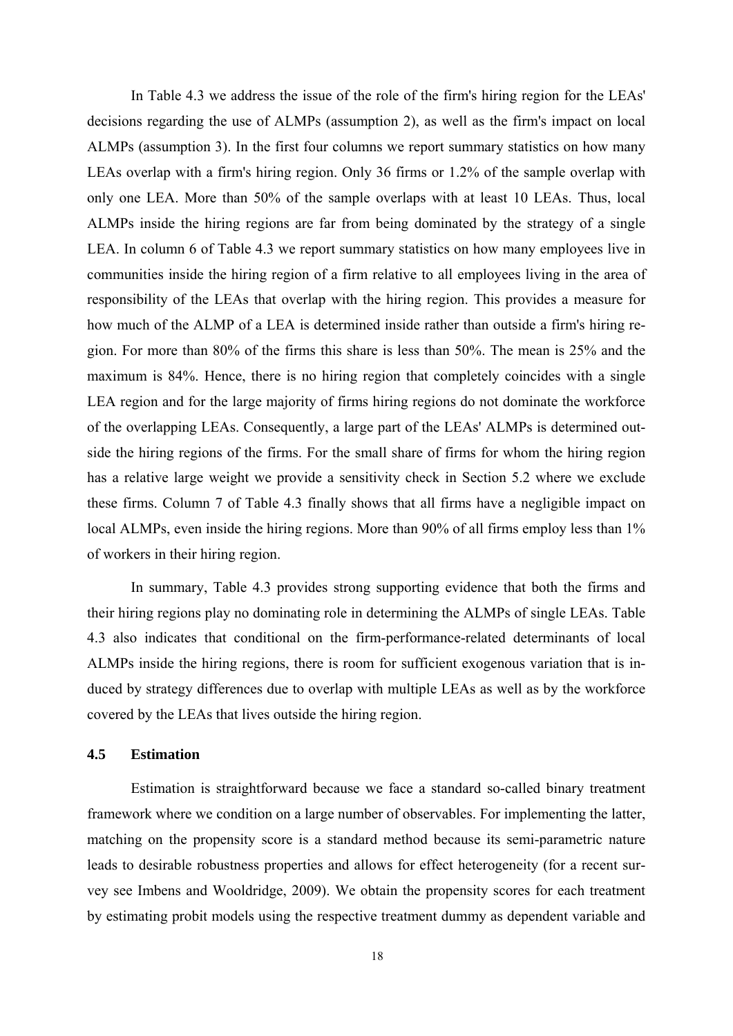In Table 4.3 we address the issue of the role of the firm's hiring region for the LEAs' decisions regarding the use of ALMPs (assumption 2), as well as the firm's impact on local ALMPs (assumption 3). In the first four columns we report summary statistics on how many LEAs overlap with a firm's hiring region. Only 36 firms or 1.2% of the sample overlap with only one LEA. More than 50% of the sample overlaps with at least 10 LEAs. Thus, local ALMPs inside the hiring regions are far from being dominated by the strategy of a single LEA. In column 6 of Table 4.3 we report summary statistics on how many employees live in communities inside the hiring region of a firm relative to all employees living in the area of responsibility of the LEAs that overlap with the hiring region. This provides a measure for how much of the ALMP of a LEA is determined inside rather than outside a firm's hiring region. For more than 80% of the firms this share is less than 50%. The mean is 25% and the maximum is 84%. Hence, there is no hiring region that completely coincides with a single LEA region and for the large majority of firms hiring regions do not dominate the workforce of the overlapping LEAs. Consequently, a large part of the LEAs' ALMPs is determined outside the hiring regions of the firms. For the small share of firms for whom the hiring region has a relative large weight we provide a sensitivity check in Section 5.2 where we exclude these firms. Column 7 of Table 4.3 finally shows that all firms have a negligible impact on local ALMPs, even inside the hiring regions. More than 90% of all firms employ less than 1% of workers in their hiring region.

In summary, Table 4.3 provides strong supporting evidence that both the firms and their hiring regions play no dominating role in determining the ALMPs of single LEAs. Table 4.3 also indicates that conditional on the firm-performance-related determinants of local ALMPs inside the hiring regions, there is room for sufficient exogenous variation that is induced by strategy differences due to overlap with multiple LEAs as well as by the workforce covered by the LEAs that lives outside the hiring region.

## **4.5 Estimation**

Estimation is straightforward because we face a standard so-called binary treatment framework where we condition on a large number of observables. For implementing the latter, matching on the propensity score is a standard method because its semi-parametric nature leads to desirable robustness properties and allows for effect heterogeneity (for a recent survey see Imbens and Wooldridge, 2009). We obtain the propensity scores for each treatment by estimating probit models using the respective treatment dummy as dependent variable and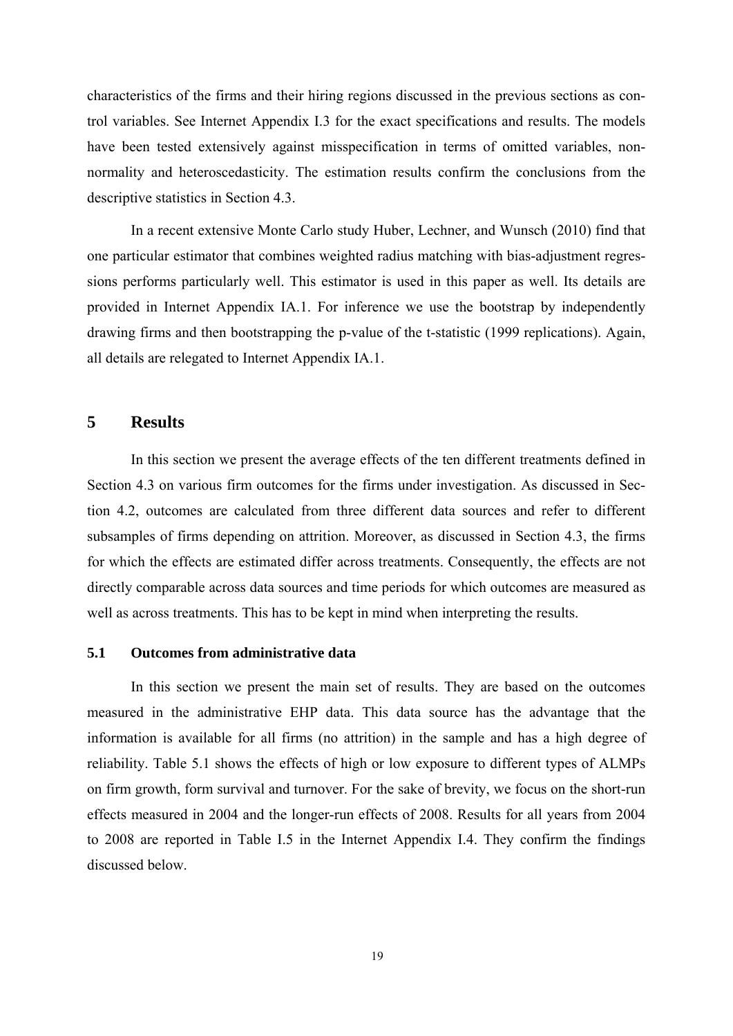characteristics of the firms and their hiring regions discussed in the previous sections as control variables. See Internet Appendix I.3 for the exact specifications and results. The models have been tested extensively against misspecification in terms of omitted variables, nonnormality and heteroscedasticity. The estimation results confirm the conclusions from the descriptive statistics in Section 4.3.

In a recent extensive Monte Carlo study Huber, Lechner, and Wunsch (2010) find that one particular estimator that combines weighted radius matching with bias-adjustment regressions performs particularly well. This estimator is used in this paper as well. Its details are provided in Internet Appendix IA.1. For inference we use the bootstrap by independently drawing firms and then bootstrapping the p-value of the t-statistic (1999 replications). Again, all details are relegated to Internet Appendix IA.1.

#### **5 Results**

In this section we present the average effects of the ten different treatments defined in Section 4.3 on various firm outcomes for the firms under investigation. As discussed in Section 4.2, outcomes are calculated from three different data sources and refer to different subsamples of firms depending on attrition. Moreover, as discussed in Section 4.3, the firms for which the effects are estimated differ across treatments. Consequently, the effects are not directly comparable across data sources and time periods for which outcomes are measured as well as across treatments. This has to be kept in mind when interpreting the results.

#### **5.1 Outcomes from administrative data**

In this section we present the main set of results. They are based on the outcomes measured in the administrative EHP data. This data source has the advantage that the information is available for all firms (no attrition) in the sample and has a high degree of reliability. Table 5.1 shows the effects of high or low exposure to different types of ALMPs on firm growth, form survival and turnover. For the sake of brevity, we focus on the short-run effects measured in 2004 and the longer-run effects of 2008. Results for all years from 2004 to 2008 are reported in Table I.5 in the Internet Appendix I.4. They confirm the findings discussed below.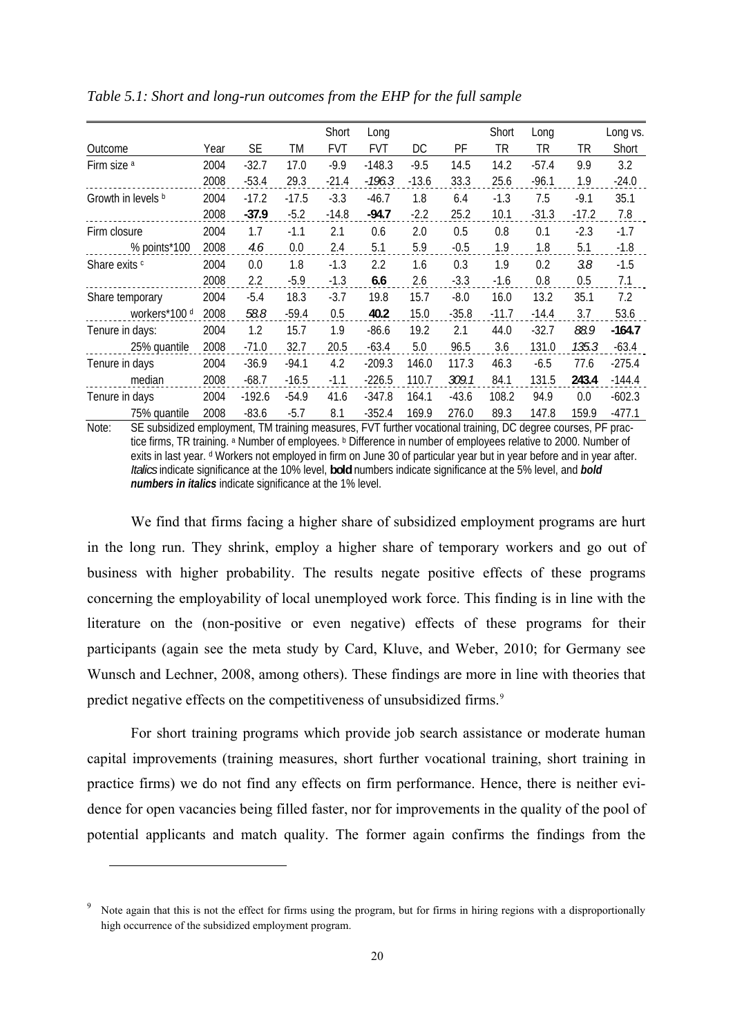|                          |      |          |         | Short      | Long       |         |         | Short   | Long    |         | Long vs. |
|--------------------------|------|----------|---------|------------|------------|---------|---------|---------|---------|---------|----------|
| Outcome                  | Year | SE       | ТM      | <b>FVT</b> | <b>FVT</b> | DC      | PF      | TR      | TR      | TR      | Short    |
| Firm size a              | 2004 | $-32.7$  | 17.0    | $-9.9$     | $-148.3$   | $-9.5$  | 14.5    | 14.2    | $-57.4$ | 9.9     | 3.2      |
|                          | 2008 | $-53.4$  | 29.3    | $-21.4$    | $-196.3$   | $-13.6$ | 33.3    | 25.6    | $-96.1$ | 1.9     | $-24.0$  |
| Growth in levels b       | 2004 | $-17.2$  | $-17.5$ | $-3.3$     | $-46.7$    | 1.8     | 6.4     | $-1.3$  | 7.5     | $-9.1$  | 35.1     |
|                          | 2008 | $-37.9$  | $-5.2$  | $-14.8$    | $-94.7$    | $-2.2$  | 25.2    | 10.1    | $-31.3$ | $-17.2$ | 7.8      |
| Firm closure             | 2004 | 1.7      | $-1.1$  | 2.1        | 0.6        | 2.0     | 0.5     | 0.8     | 0.1     | $-2.3$  | $-1.7$   |
| % points*100             | 2008 | 4.6      | 0.0     | 2.4        | 5.1        | 5.9     | $-0.5$  | 1.9     | 1.8     | 5.1     | $-1.8$   |
| Share exits <sup>c</sup> | 2004 | 0.0      | 1.8     | $-1.3$     | 2.2        | 1.6     | 0.3     | 1.9     | 0.2     | 3.8     | $-1.5$   |
|                          | 2008 | 2.2      | $-5.9$  | $-1.3$     | 6.6        | 2.6     | $-3.3$  | $-1.6$  | 0.8     | 0.5     | 7.1      |
| Share temporary          | 2004 | $-5.4$   | 18.3    | $-3.7$     | 19.8       | 15.7    | $-8.0$  | 16.0    | 13.2    | 35.1    | 7.2      |
| workers*100 d            | 2008 | 58.8     | $-59.4$ | 0.5        | 40.2       | 15.0    | $-35.8$ | $-11.7$ | $-14.4$ | 3.7     | 53.6     |
| Tenure in days:          | 2004 | 1.2      | 15.7    | 1.9        | $-86.6$    | 19.2    | 2.1     | 44.0    | $-32.7$ | 88.9    | $-164.7$ |
| 25% quantile             | 2008 | $-71.0$  | 32.7    | 20.5       | $-63.4$    | 5.0     | 96.5    | 3.6     | 131.0   | 135.3   | $-63.4$  |
| Tenure in days           | 2004 | $-36.9$  | $-94.1$ | 4.2        | $-209.3$   | 146.0   | 117.3   | 46.3    | $-6.5$  | 77.6    | $-275.4$ |
| median                   | 2008 | $-68.7$  | $-16.5$ | $-1.1$     | $-226.5$   | 110.7   | 309.1   | 84.1    | 131.5   | 243.4   | $-144.4$ |
| Tenure in days           | 2004 | $-192.6$ | $-54.9$ | 41.6       | $-347.8$   | 164.1   | $-43.6$ | 108.2   | 94.9    | 0.0     | $-602.3$ |
| 75% quantile             | 2008 | $-83.6$  | $-5.7$  | 8.1        | $-352.4$   | 169.9   | 276.0   | 89.3    | 147.8   | 159.9   | $-477.1$ |

*Table 5.1: Short and long-run outcomes from the EHP for the full sample* 

Note: SE subsidized employment, TM training measures, FVT further vocational training, DC degree courses, PF practice firms. TR training. <sup>a</sup> Number of employees. **b** Difference in number of employees relative to 2000. Number of exits in last year. d Workers not employed in firm on June 30 of particular year but in year before and in year after. *Italics* indicate significance at the 10% level, **bold** numbers indicate significance at the 5% level, and *bold numbers in italics* indicate significance at the 1% level.

We find that firms facing a higher share of subsidized employment programs are hurt in the long run. They shrink, employ a higher share of temporary workers and go out of business with higher probability. The results negate positive effects of these programs concerning the employability of local unemployed work force. This finding is in line with the literature on the (non-positive or even negative) effects of these programs for their participants (again see the meta study by Card, Kluve, and Weber, 2010; for Germany see Wunsch and Lechner, 2008, among others). These findings are more in line with theories that predict negative effects on the competitiveness of unsubsidized firms.<sup>[9](#page-20-0)</sup>

For short training programs which provide job search assistance or moderate human capital improvements (training measures, short further vocational training, short training in practice firms) we do not find any effects on firm performance. Hence, there is neither evidence for open vacancies being filled faster, nor for improvements in the quality of the pool of potential applicants and match quality. The former again confirms the findings from the

l

<span id="page-20-0"></span><sup>9</sup> Note again that this is not the effect for firms using the program, but for firms in hiring regions with a disproportionally high occurrence of the subsidized employment program.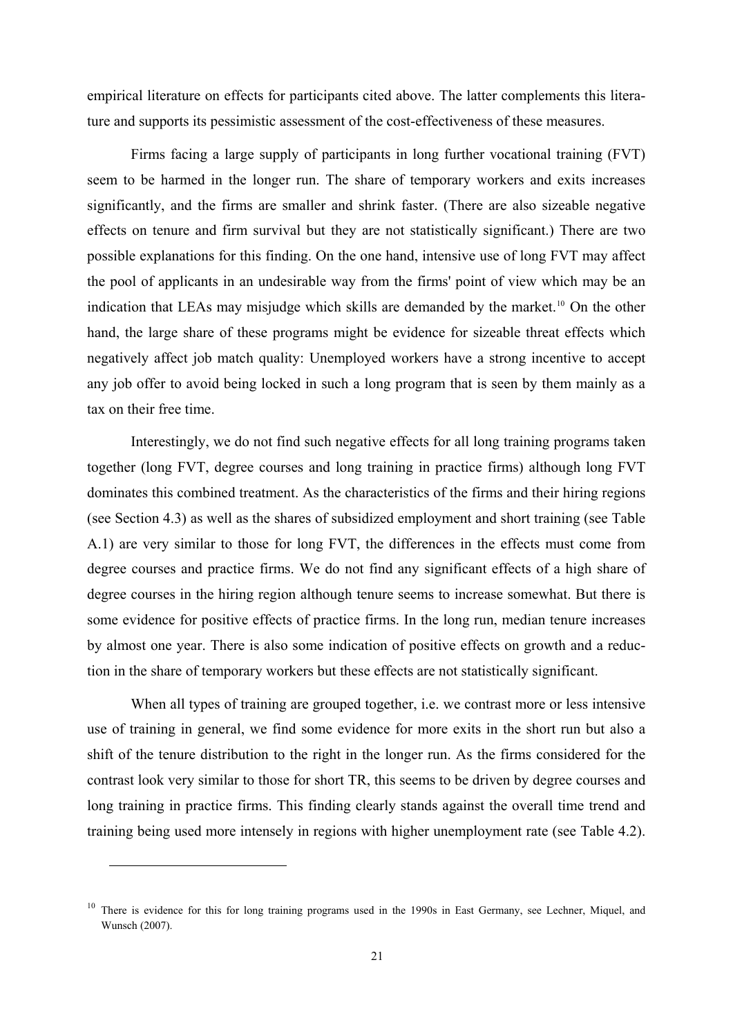empirical literature on effects for participants cited above. The latter complements this literature and supports its pessimistic assessment of the cost-effectiveness of these measures.

Firms facing a large supply of participants in long further vocational training (FVT) seem to be harmed in the longer run. The share of temporary workers and exits increases significantly, and the firms are smaller and shrink faster. (There are also sizeable negative effects on tenure and firm survival but they are not statistically significant.) There are two possible explanations for this finding. On the one hand, intensive use of long FVT may affect the pool of applicants in an undesirable way from the firms' point of view which may be an indication that LEAs may misjudge which skills are demanded by the market.<sup>[10](#page-21-0)</sup> On the other hand, the large share of these programs might be evidence for sizeable threat effects which negatively affect job match quality: Unemployed workers have a strong incentive to accept any job offer to avoid being locked in such a long program that is seen by them mainly as a tax on their free time.

Interestingly, we do not find such negative effects for all long training programs taken together (long FVT, degree courses and long training in practice firms) although long FVT dominates this combined treatment. As the characteristics of the firms and their hiring regions (see Section 4.3) as well as the shares of subsidized employment and short training (see Table A.1) are very similar to those for long FVT, the differences in the effects must come from degree courses and practice firms. We do not find any significant effects of a high share of degree courses in the hiring region although tenure seems to increase somewhat. But there is some evidence for positive effects of practice firms. In the long run, median tenure increases by almost one year. There is also some indication of positive effects on growth and a reduction in the share of temporary workers but these effects are not statistically significant.

When all types of training are grouped together, *i.e.* we contrast more or less intensive use of training in general, we find some evidence for more exits in the short run but also a shift of the tenure distribution to the right in the longer run. As the firms considered for the contrast look very similar to those for short TR, this seems to be driven by degree courses and long training in practice firms. This finding clearly stands against the overall time trend and training being used more intensely in regions with higher unemployment rate (see Table 4.2).

l

<span id="page-21-0"></span><sup>&</sup>lt;sup>10</sup> There is evidence for this for long training programs used in the 1990s in East Germany, see Lechner, Miquel, and Wunsch (2007).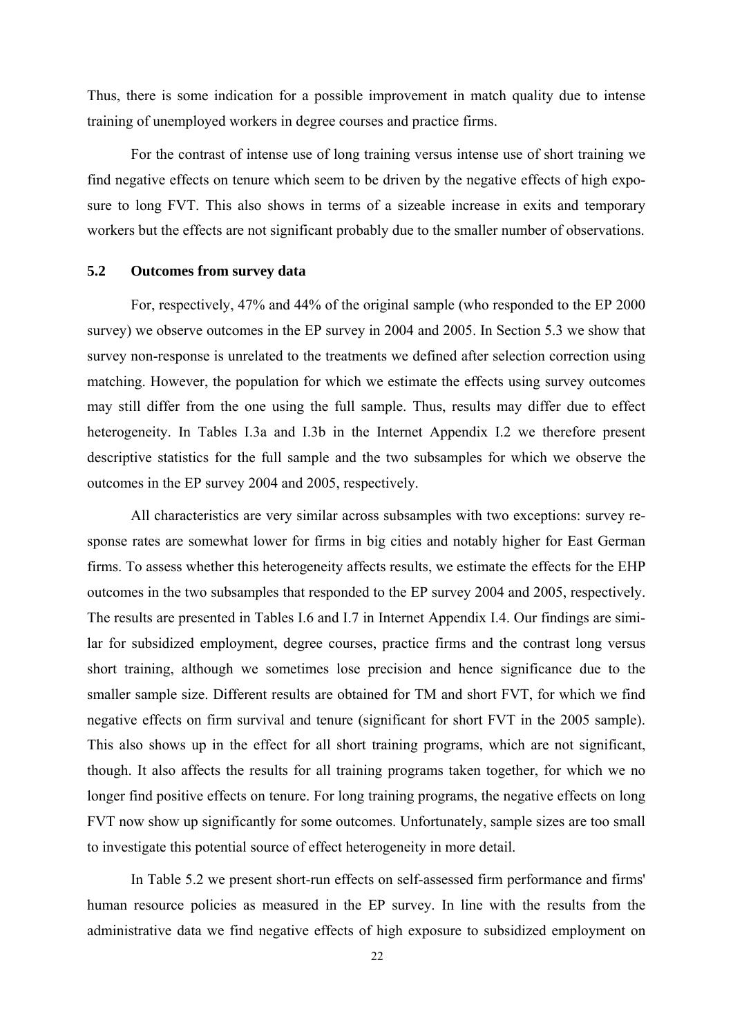Thus, there is some indication for a possible improvement in match quality due to intense training of unemployed workers in degree courses and practice firms.

For the contrast of intense use of long training versus intense use of short training we find negative effects on tenure which seem to be driven by the negative effects of high exposure to long FVT. This also shows in terms of a sizeable increase in exits and temporary workers but the effects are not significant probably due to the smaller number of observations.

#### **5.2 Outcomes from survey data**

For, respectively, 47% and 44% of the original sample (who responded to the EP 2000 survey) we observe outcomes in the EP survey in 2004 and 2005. In Section 5.3 we show that survey non-response is unrelated to the treatments we defined after selection correction using matching. However, the population for which we estimate the effects using survey outcomes may still differ from the one using the full sample. Thus, results may differ due to effect heterogeneity. In Tables I.3a and I.3b in the Internet Appendix I.2 we therefore present descriptive statistics for the full sample and the two subsamples for which we observe the outcomes in the EP survey 2004 and 2005, respectively.

All characteristics are very similar across subsamples with two exceptions: survey response rates are somewhat lower for firms in big cities and notably higher for East German firms. To assess whether this heterogeneity affects results, we estimate the effects for the EHP outcomes in the two subsamples that responded to the EP survey 2004 and 2005, respectively. The results are presented in Tables I.6 and I.7 in Internet Appendix I.4. Our findings are similar for subsidized employment, degree courses, practice firms and the contrast long versus short training, although we sometimes lose precision and hence significance due to the smaller sample size. Different results are obtained for TM and short FVT, for which we find negative effects on firm survival and tenure (significant for short FVT in the 2005 sample). This also shows up in the effect for all short training programs, which are not significant, though. It also affects the results for all training programs taken together, for which we no longer find positive effects on tenure. For long training programs, the negative effects on long FVT now show up significantly for some outcomes. Unfortunately, sample sizes are too small to investigate this potential source of effect heterogeneity in more detail.

In Table 5.2 we present short-run effects on self-assessed firm performance and firms' human resource policies as measured in the EP survey. In line with the results from the administrative data we find negative effects of high exposure to subsidized employment on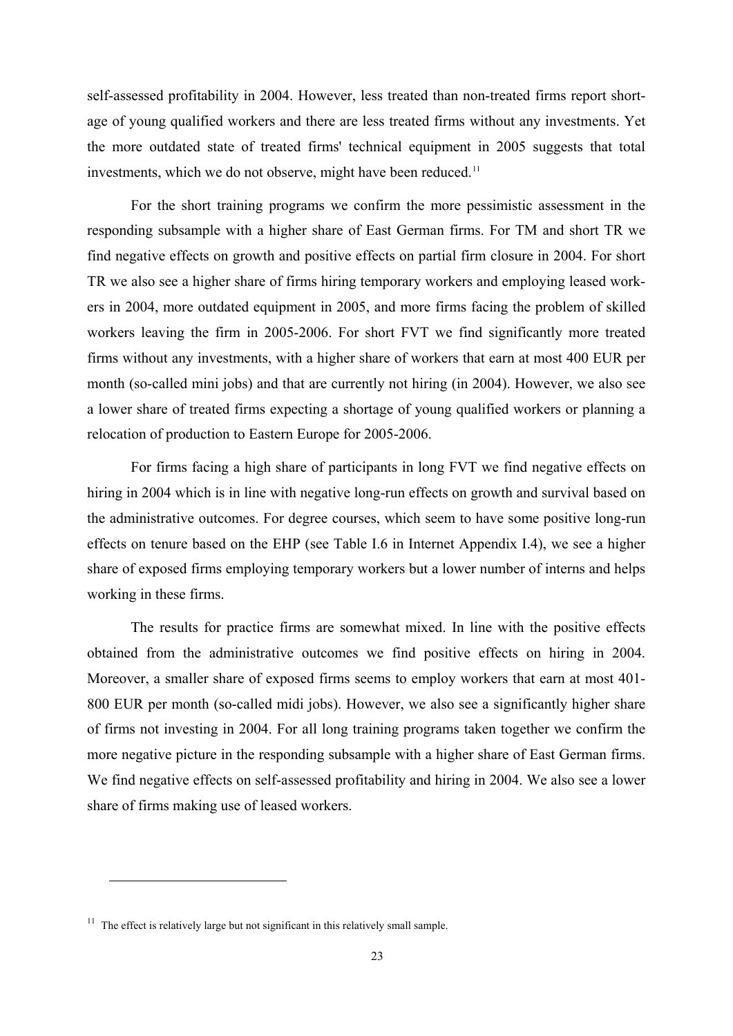self-assessed profitability in 2004. However, less treated than non-treated firms report shortage of young qualified workers and there are less treated firms without any investments. Yet the more outdated state of treated firms' technical equipment in 2005 suggests that total investments, which we do not observe, might have been reduced.<sup>[11](#page-23-0)</sup>

For the short training programs we confirm the more pessimistic assessment in the responding subsample with a higher share of East German firms. For TM and short TR we find negative effects on growth and positive effects on partial firm closure in 2004. For short TR we also see a higher share of firms hiring temporary workers and employing leased workers in 2004, more outdated equipment in 2005, and more firms facing the problem of skilled workers leaving the firm in 2005-2006. For short FVT we find significantly more treated firms without any investments, with a higher share of workers that earn at most 400 EUR per month (so-called mini jobs) and that are currently not hiring (in 2004). However, we also see a lower share of treated firms expecting a shortage of young qualified workers or planning a relocation of production to Eastern Europe for 2005-2006.

For firms facing a high share of participants in long FVT we find negative effects on hiring in 2004 which is in line with negative long-run effects on growth and survival based on the administrative outcomes. For degree courses, which seem to have some positive long-run effects on tenure based on the EHP (see Table I.6 in Internet Appendix I.4), we see a higher share of exposed firms employing temporary workers but a lower number of interns and helps working in these firms.

The results for practice firms are somewhat mixed. In line with the positive effects obtained from the administrative outcomes we find positive effects on hiring in 2004. Moreover, a smaller share of exposed firms seems to employ workers that earn at most 401- 800 EUR per month (so-called midi jobs). However, we also see a significantly higher share of firms not investing in 2004. For all long training programs taken together we confirm the more negative picture in the responding subsample with a higher share of East German firms. We find negative effects on self-assessed profitability and hiring in 2004. We also see a lower share of firms making use of leased workers.

 $\overline{a}$ 

<span id="page-23-0"></span> $11$  The effect is relatively large but not significant in this relatively small sample.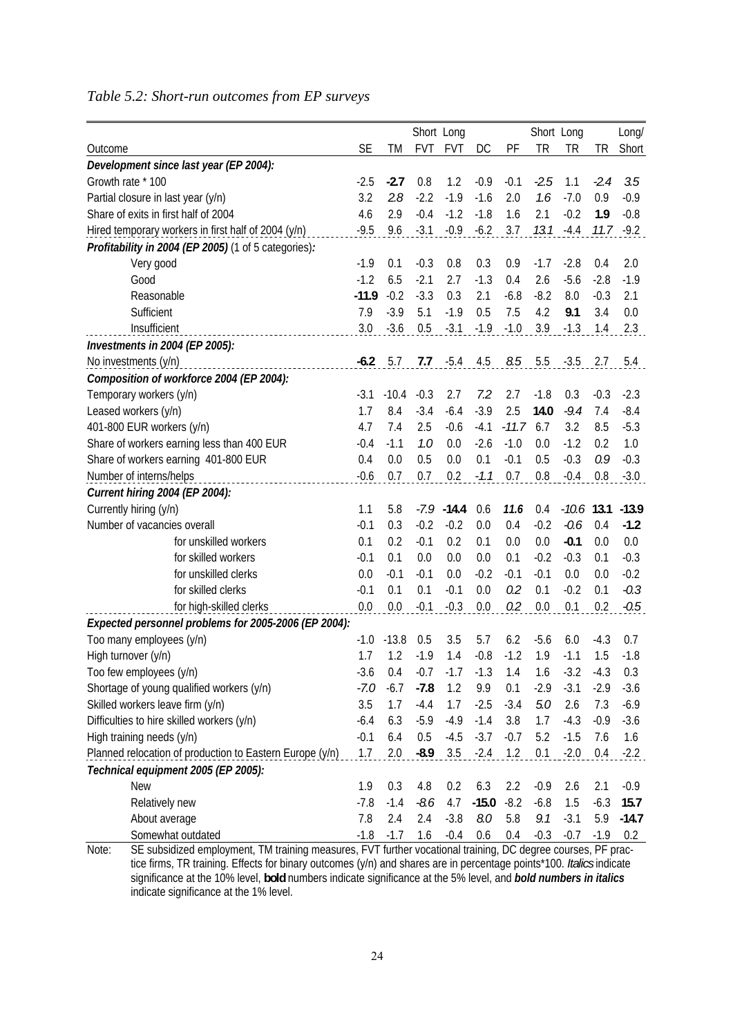## *Table 5.2: Short-run outcomes from EP surveys*

|                                                                                                                                                                                                                                               |           |         |            | Short Long |         |         |        | Short Long   |        | Long/        |
|-----------------------------------------------------------------------------------------------------------------------------------------------------------------------------------------------------------------------------------------------|-----------|---------|------------|------------|---------|---------|--------|--------------|--------|--------------|
| Outcome                                                                                                                                                                                                                                       | <b>SE</b> | TM      | <b>FVT</b> | <b>FVT</b> | DC      | PF      | TR     | TR           | ΤR     | Short        |
| Development since last year (EP 2004):                                                                                                                                                                                                        |           |         |            |            |         |         |        |              |        |              |
| Growth rate * 100                                                                                                                                                                                                                             | $-2.5$    | $-2.7$  | 0.8        | 1.2        | $-0.9$  | $-0.1$  | $-2.5$ | 1.1          | $-2.4$ | 3.5          |
| Partial closure in last year (y/n)                                                                                                                                                                                                            | 3.2       | 2.8     | $-2.2$     | $-1.9$     | $-1.6$  | 2.0     | 1.6    | $-7.0$       | 0.9    | $-0.9$       |
| Share of exits in first half of 2004                                                                                                                                                                                                          | 4.6       | 2.9     | $-0.4$     | $-1.2$     | $-1.8$  | 1.6     | 2.1    | $-0.2$       | 1.9    | $-0.8$       |
| Hired temporary workers in first half of 2004 (y/n)                                                                                                                                                                                           | $-9.5$    | 9.6     | $-3.1$     | $-0.9$     | $-6.2$  | 3.7     | 13.1   | $-4.4$       |        | $11.7 - 9.2$ |
| Profitability in 2004 (EP 2005) (1 of 5 categories):                                                                                                                                                                                          |           |         |            |            |         |         |        |              |        |              |
| Very good                                                                                                                                                                                                                                     | $-1.9$    | 0.1     | $-0.3$     | 0.8        | 0.3     | 0.9     | $-1.7$ | $-2.8$       | 0.4    | 2.0          |
| Good                                                                                                                                                                                                                                          | $-1.2$    | 6.5     | $-2.1$     | 2.7        | $-1.3$  | 0.4     | 2.6    | $-5.6$       | $-2.8$ | $-1.9$       |
| Reasonable                                                                                                                                                                                                                                    | $-11.9$   | $-0.2$  | $-3.3$     | 0.3        | 2.1     | $-6.8$  | $-8.2$ | 8.0          | $-0.3$ | 2.1          |
| Sufficient                                                                                                                                                                                                                                    | 7.9       | $-3.9$  | 5.1        | $-1.9$     | 0.5     | 7.5     | 4.2    | 9.1          | 3.4    | 0.0          |
| Insufficient                                                                                                                                                                                                                                  | 3.0       | $-3.6$  | 0.5        | $-3.1$     | $-1.9$  | $-1.0$  | 3.9    | $-1.3$       | 1.4    | 2.3          |
| Investments in 2004 (EP 2005):                                                                                                                                                                                                                |           |         |            |            |         |         |        |              |        |              |
| No investments (y/n)                                                                                                                                                                                                                          | $-6.2$    | 5.7     | 7.7        | $-5.4$     | 4.5     | 8.5     | 5.5    | $-3.5$       | 2.7    | 5.4          |
| Composition of workforce 2004 (EP 2004):                                                                                                                                                                                                      |           |         |            |            |         |         |        |              |        |              |
| Temporary workers (y/n)                                                                                                                                                                                                                       | $-3.1$    | $-10.4$ | $-0.3$     | 2.7        | 7.2     | 2.7     | $-1.8$ | 0.3          | $-0.3$ | $-2.3$       |
| Leased workers (y/n)                                                                                                                                                                                                                          | 1.7       | 8.4     | $-3.4$     | $-6.4$     | $-3.9$  | 2.5     | 14.0   | $-9.4$       | 7.4    | $-8.4$       |
| 401-800 EUR workers (y/n)                                                                                                                                                                                                                     | 4.7       | 7.4     | 2.5        | $-0.6$     | $-4.1$  | $-11.7$ | 6.7    | 3.2          | 8.5    | $-5.3$       |
| Share of workers earning less than 400 EUR                                                                                                                                                                                                    | $-0.4$    | $-1.1$  | 1.0        | 0.0        | $-2.6$  | $-1.0$  | 0.0    | $-1.2$       | 0.2    | 1.0          |
| Share of workers earning 401-800 EUR                                                                                                                                                                                                          | 0.4       | 0.0     | 0.5        | 0.0        | 0.1     | $-0.1$  | 0.5    | $-0.3$       | 0.9    | $-0.3$       |
| Number of interns/helps                                                                                                                                                                                                                       | $-0.6$    | 0.7     | 0.7        | 0.2        | $-1.1$  | 0.7     | 0.8    | $-0.4$       | 0.8    | $-3.0$       |
| Current hiring 2004 (EP 2004):                                                                                                                                                                                                                |           |         |            |            |         |         |        |              |        |              |
| Currently hiring (y/n)                                                                                                                                                                                                                        | 1.1       | 5.8     | $-7.9$     | $-14.4$    | 0.6     | 11.6    | 0.4    | $-10.6$ 13.1 |        | $-13.9$      |
| Number of vacancies overall                                                                                                                                                                                                                   | $-0.1$    | 0.3     | $-0.2$     | $-0.2$     | 0.0     | 0.4     | $-0.2$ | $-0.6$       | 0.4    | $-1.2$       |
| for unskilled workers                                                                                                                                                                                                                         | 0.1       | 0.2     | $-0.1$     | 0.2        | 0.1     | 0.0     | 0.0    | $-0.1$       | 0.0    | 0.0          |
| for skilled workers                                                                                                                                                                                                                           | $-0.1$    | 0.1     | 0.0        | 0.0        | 0.0     | 0.1     | $-0.2$ | $-0.3$       | 0.1    | $-0.3$       |
| for unskilled clerks                                                                                                                                                                                                                          | 0.0       | $-0.1$  | $-0.1$     | 0.0        | $-0.2$  | $-0.1$  | $-0.1$ | 0.0          | 0.0    | $-0.2$       |
| for skilled clerks                                                                                                                                                                                                                            | $-0.1$    | 0.1     | 0.1        | $-0.1$     | 0.0     | 0.2     | 0.1    | $-0.2$       | 0.1    | $-0.3$       |
| for high-skilled clerks                                                                                                                                                                                                                       | 0.0       | 0.0     | $-0.1$     | $-0.3$     | 0.0     | 0.2     | 0.0    | 0.1          | 0.2    | $-0.5$       |
| Expected personnel problems for 2005-2006 (EP 2004):                                                                                                                                                                                          |           |         |            |            |         |         |        |              |        |              |
| Too many employees (y/n)                                                                                                                                                                                                                      | $-1.0$    | $-13.8$ | 0.5        | 3.5        | 5.7     | 6.2     | $-5.6$ | 6.0          | $-4.3$ | 0.7          |
| High turnover (y/n)                                                                                                                                                                                                                           | 1.7       | 1.2     | $-1.9$     | 1.4        | $-0.8$  | $-1.2$  | 1.9    | $-1.1$       | 1.5    | $-1.8$       |
| Too few employees (y/n)                                                                                                                                                                                                                       | $-3.6$    | 0.4     | $-0.7$     | $-1.7$     | $-1.3$  | $1.4$   | $1.6$  | $-3.2$       | $-4.3$ | 0.3          |
| Shortage of young qualified workers (y/n)                                                                                                                                                                                                     | $-7.0$    | $-6.7$  | $-7.8$     | 1.2        | 9.9     | 0.1     | $-2.9$ | $-3.1$       | $-2.9$ | $-3.6$       |
| Skilled workers leave firm (y/n)                                                                                                                                                                                                              | 3.5       | 1.7     | $-4.4$     | 1.7        | $-2.5$  | $-3.4$  | 5.0    | 2.6          | 7.3    | $-6.9$       |
| Difficulties to hire skilled workers (y/n)                                                                                                                                                                                                    | $-6.4$    | 6.3     | $-5.9$     | $-4.9$     | $-1.4$  | 3.8     | 1.7    | $-4.3$       | $-0.9$ | $-3.6$       |
| High training needs (y/n)                                                                                                                                                                                                                     | $-0.1$    | 6.4     | 0.5        | $-4.5$     | $-3.7$  | $-0.7$  | 5.2    | $-1.5$       | 7.6    | 1.6          |
| Planned relocation of production to Eastern Europe (y/n)                                                                                                                                                                                      | 1.7       | 2.0     | $-8.9$     | 3.5        | $-2.4$  | 1.2     | 0.1    | $-2.0$       | 0.4    | $-2.2$       |
| Technical equipment 2005 (EP 2005):                                                                                                                                                                                                           |           |         |            |            |         |         |        |              |        |              |
| <b>New</b>                                                                                                                                                                                                                                    | 1.9       | 0.3     | 4.8        | 0.2        | 6.3     | 2.2     | $-0.9$ | 2.6          | 2.1    | $-0.9$       |
| Relatively new                                                                                                                                                                                                                                |           | $-1.4$  | $-8.6$     | 4.7        | $-15.0$ | $-8.2$  | $-6.8$ | 1.5          | $-6.3$ | 15.7         |
| About average                                                                                                                                                                                                                                 | 7.8       | 2.4     | 2.4        | $-3.8$     | 8.0     | 5.8     | 9.1    | $-3.1$       | 5.9    | $-14.7$      |
| Somewhat outdated                                                                                                                                                                                                                             | $-1.8$    | $-1.7$  | 1.6        | $-0.4$     | 0.6     | 0.4     | $-0.3$ | $-0.7$       | $-1.9$ | 0.2          |
| SE subsidized employment, TM training measures, FVT further vocational training, DC degree courses, PF prac-<br>Note:<br>tice firms. TD training. Effects for binary outcomes (ylp) and shares are in persentage points*100. Italies indicate |           |         |            |            |         |         |        |              |        |              |

tice firms, TR training. Effects for binary outcomes (y/n) and shares are in percentage points\*100. *Italics* indicate significance at the 10% level, **bold** numbers indicate significance at the 5% level, and *bold numbers in italics* indicate significance at the 1% level.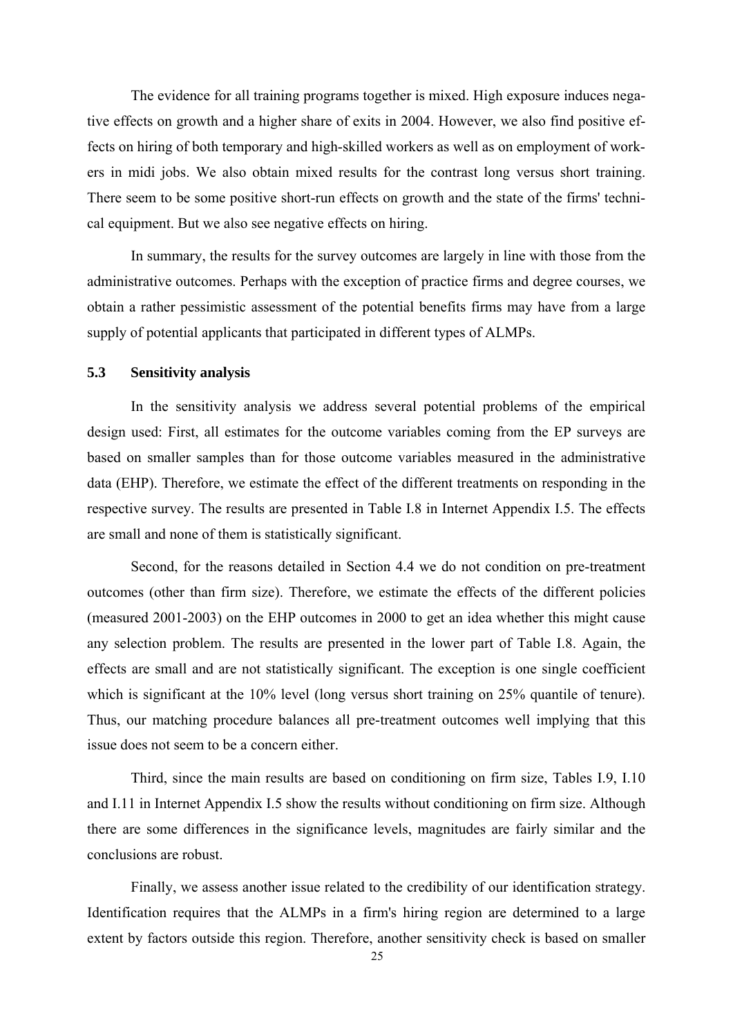The evidence for all training programs together is mixed. High exposure induces negative effects on growth and a higher share of exits in 2004. However, we also find positive effects on hiring of both temporary and high-skilled workers as well as on employment of workers in midi jobs. We also obtain mixed results for the contrast long versus short training. There seem to be some positive short-run effects on growth and the state of the firms' technical equipment. But we also see negative effects on hiring.

In summary, the results for the survey outcomes are largely in line with those from the administrative outcomes. Perhaps with the exception of practice firms and degree courses, we obtain a rather pessimistic assessment of the potential benefits firms may have from a large supply of potential applicants that participated in different types of ALMPs.

## **5.3 Sensitivity analysis**

In the sensitivity analysis we address several potential problems of the empirical design used: First, all estimates for the outcome variables coming from the EP surveys are based on smaller samples than for those outcome variables measured in the administrative data (EHP). Therefore, we estimate the effect of the different treatments on responding in the respective survey. The results are presented in Table I.8 in Internet Appendix I.5. The effects are small and none of them is statistically significant.

Second, for the reasons detailed in Section 4.4 we do not condition on pre-treatment outcomes (other than firm size). Therefore, we estimate the effects of the different policies (measured 2001-2003) on the EHP outcomes in 2000 to get an idea whether this might cause any selection problem. The results are presented in the lower part of Table I.8. Again, the effects are small and are not statistically significant. The exception is one single coefficient which is significant at the 10% level (long versus short training on 25% quantile of tenure). Thus, our matching procedure balances all pre-treatment outcomes well implying that this issue does not seem to be a concern either.

Third, since the main results are based on conditioning on firm size, Tables I.9, I.10 and I.11 in Internet Appendix I.5 show the results without conditioning on firm size. Although there are some differences in the significance levels, magnitudes are fairly similar and the conclusions are robust.

Finally, we assess another issue related to the credibility of our identification strategy. Identification requires that the ALMPs in a firm's hiring region are determined to a large extent by factors outside this region. Therefore, another sensitivity check is based on smaller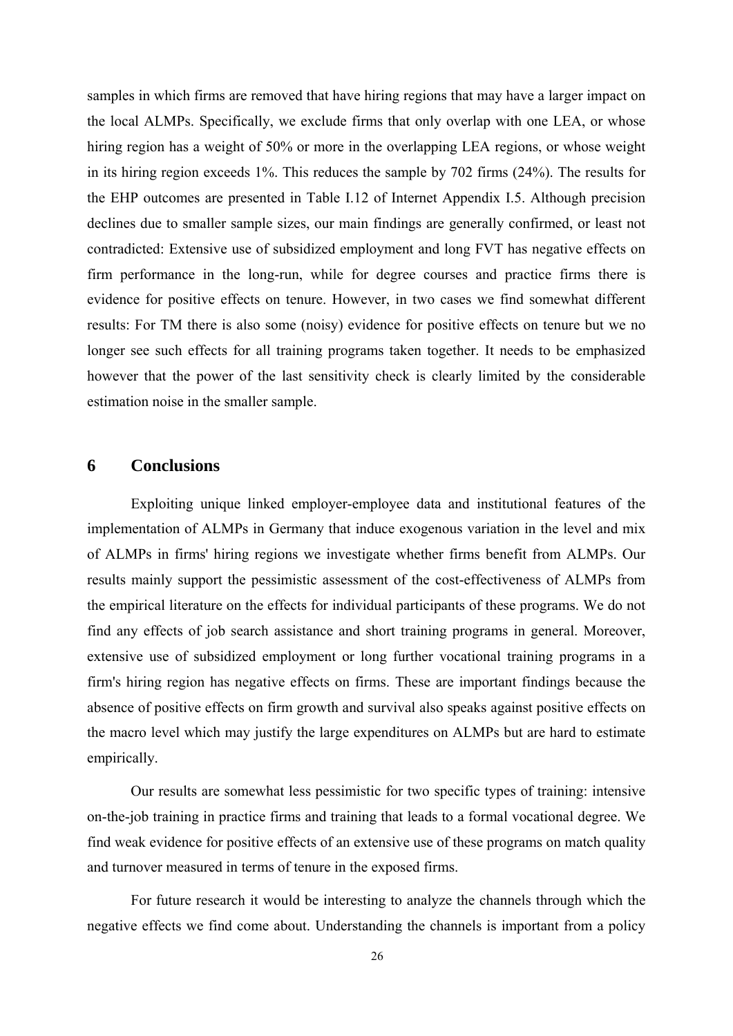samples in which firms are removed that have hiring regions that may have a larger impact on the local ALMPs. Specifically, we exclude firms that only overlap with one LEA, or whose hiring region has a weight of 50% or more in the overlapping LEA regions, or whose weight in its hiring region exceeds 1%. This reduces the sample by 702 firms (24%). The results for the EHP outcomes are presented in Table I.12 of Internet Appendix I.5. Although precision declines due to smaller sample sizes, our main findings are generally confirmed, or least not contradicted: Extensive use of subsidized employment and long FVT has negative effects on firm performance in the long-run, while for degree courses and practice firms there is evidence for positive effects on tenure. However, in two cases we find somewhat different results: For TM there is also some (noisy) evidence for positive effects on tenure but we no longer see such effects for all training programs taken together. It needs to be emphasized however that the power of the last sensitivity check is clearly limited by the considerable estimation noise in the smaller sample.

## **6 Conclusions**

Exploiting unique linked employer-employee data and institutional features of the implementation of ALMPs in Germany that induce exogenous variation in the level and mix of ALMPs in firms' hiring regions we investigate whether firms benefit from ALMPs. Our results mainly support the pessimistic assessment of the cost-effectiveness of ALMPs from the empirical literature on the effects for individual participants of these programs. We do not find any effects of job search assistance and short training programs in general. Moreover, extensive use of subsidized employment or long further vocational training programs in a firm's hiring region has negative effects on firms. These are important findings because the absence of positive effects on firm growth and survival also speaks against positive effects on the macro level which may justify the large expenditures on ALMPs but are hard to estimate empirically.

Our results are somewhat less pessimistic for two specific types of training: intensive on-the-job training in practice firms and training that leads to a formal vocational degree. We find weak evidence for positive effects of an extensive use of these programs on match quality and turnover measured in terms of tenure in the exposed firms.

For future research it would be interesting to analyze the channels through which the negative effects we find come about. Understanding the channels is important from a policy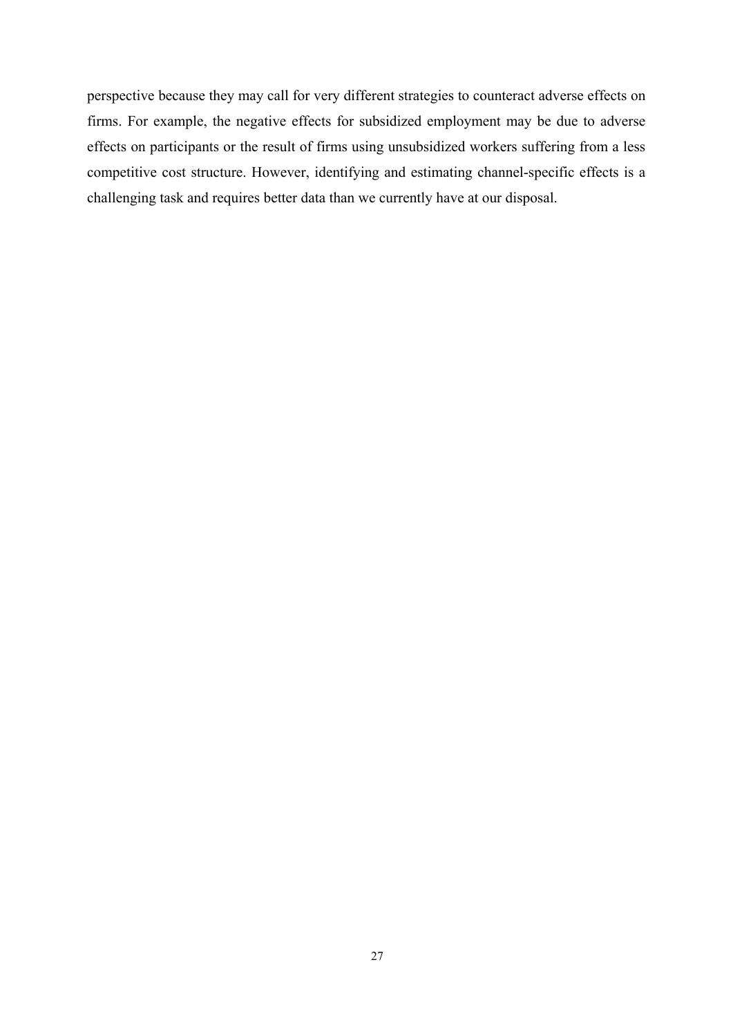perspective because they may call for very different strategies to counteract adverse effects on firms. For example, the negative effects for subsidized employment may be due to adverse effects on participants or the result of firms using unsubsidized workers suffering from a less competitive cost structure. However, identifying and estimating channel-specific effects is a challenging task and requires better data than we currently have at our disposal.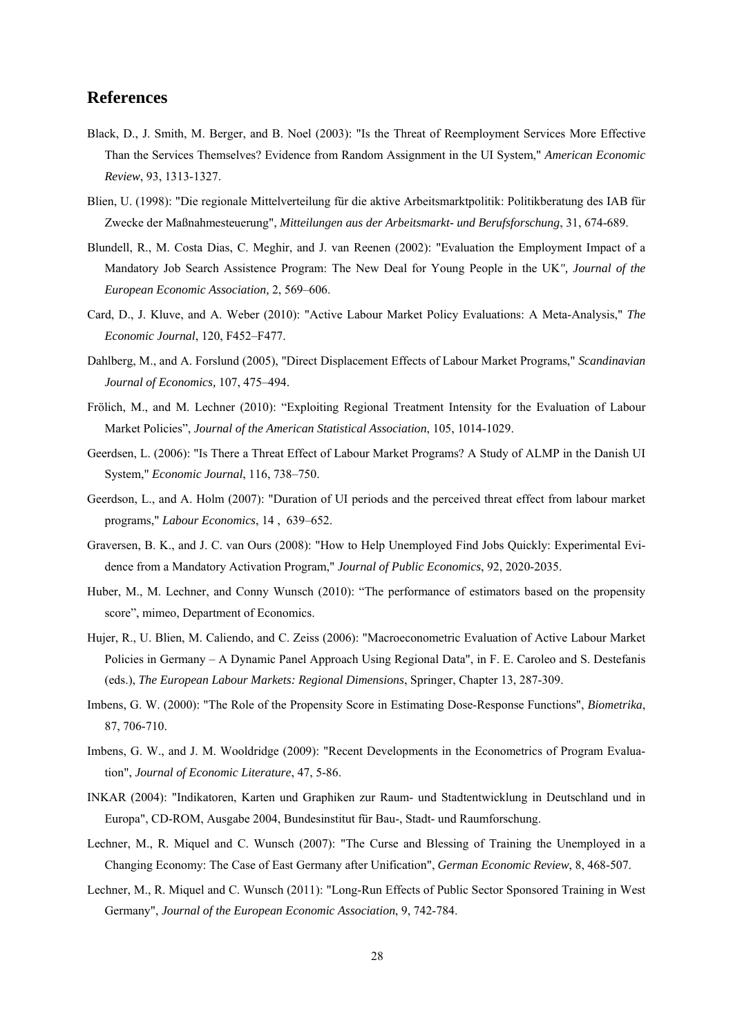#### **References**

- Black, D., J. Smith, M. Berger, and B. Noel (2003): "Is the Threat of Reemployment Services More Effective Than the Services Themselves? Evidence from Random Assignment in the UI System," *American Economic Review*, 93, 1313-1327.
- Blien, U. (1998): "Die regionale Mittelverteilung für die aktive Arbeitsmarktpolitik: Politikberatung des IAB für Zwecke der Maßnahmesteuerung", *Mitteilungen aus der Arbeitsmarkt- und Berufsforschung*, 31, 674-689.
- Blundell, R., M. Costa Dias, C. Meghir, and J. van Reenen (2002): "Evaluation the Employment Impact of a Mandatory Job Search Assistence Program: The New Deal for Young People in the UK*", Journal of the European Economic Association,* 2, 569–606.
- Card, D., J. Kluve, and A. Weber (2010): "Active Labour Market Policy Evaluations: A Meta-Analysis," *The Economic Journal*, 120, F452–F477.
- Dahlberg, M., and A. Forslund (2005), "Direct Displacement Effects of Labour Market Programs," *Scandinavian Journal of Economics,* 107, 475–494.
- Frölich, M., and M. Lechner (2010): "Exploiting Regional Treatment Intensity for the Evaluation of Labour Market Policies", *Journal of the American Statistical Association*, 105, 1014-1029.
- Geerdsen, L. (2006): "Is There a Threat Effect of Labour Market Programs? A Study of ALMP in the Danish UI System," *Economic Journal*, 116, 738–750.
- Geerdson, L., and A. Holm (2007): "Duration of UI periods and the perceived threat effect from labour market programs," *Labour Economics*, 14 , 639–652.
- Graversen, B. K., and J. C. van Ours (2008): "How to Help Unemployed Find Jobs Quickly: Experimental Evidence from a Mandatory Activation Program," *Journal of Public Economics*, 92, 2020-2035.
- Huber, M., M. Lechner, and Conny Wunsch (2010): "The performance of estimators based on the propensity score", mimeo, Department of Economics.
- Hujer, R., U. Blien, M. Caliendo, and C. Zeiss (2006): "Macroeconometric Evaluation of Active Labour Market Policies in Germany – A Dynamic Panel Approach Using Regional Data", in F. E. Caroleo and S. Destefanis (eds.), *The European Labour Markets: Regional Dimensions*, Springer, Chapter 13, 287-309.
- Imbens, G. W. (2000): "The Role of the Propensity Score in Estimating Dose-Response Functions", *Biometrika*, 87, 706-710.
- Imbens, G. W., and J. M. Wooldridge (2009): "Recent Developments in the Econometrics of Program Evaluation", *Journal of Economic Literature*, 47, 5-86.
- INKAR (2004): "Indikatoren, Karten und Graphiken zur Raum- und Stadtentwicklung in Deutschland und in Europa", CD-ROM, Ausgabe 2004, Bundesinstitut für Bau-, Stadt- und Raumforschung.
- Lechner, M., R. Miquel and C. Wunsch (2007): "The Curse and Blessing of Training the Unemployed in a Changing Economy: The Case of East Germany after Unification", *German Economic Review*, 8, 468-507.
- Lechner, M., R. Miquel and C. Wunsch (2011): "Long-Run Effects of Public Sector Sponsored Training in West Germany", *Journal of the European Economic Association*, 9, 742-784.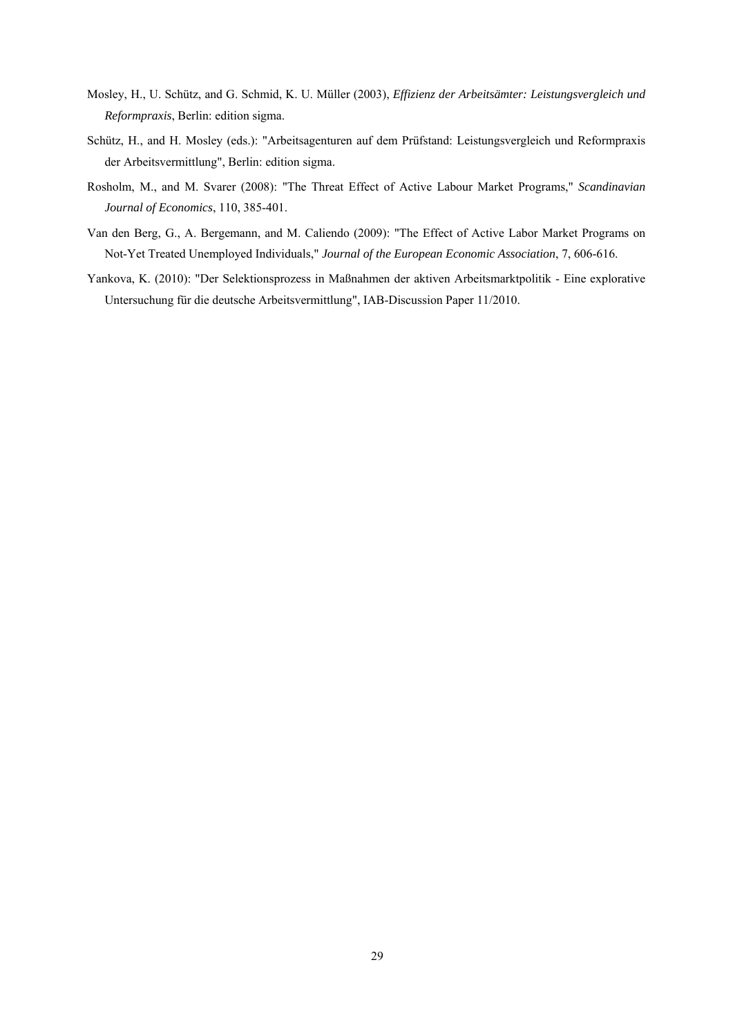- Mosley, H., U. Schütz, and G. Schmid, K. U. Müller (2003), *Effizienz der Arbeitsämter: Leistungsvergleich und Reformpraxis*, Berlin: edition sigma.
- Schütz, H., and H. Mosley (eds.): "Arbeitsagenturen auf dem Prüfstand: Leistungsvergleich und Reformpraxis der Arbeitsvermittlung", Berlin: edition sigma.
- Rosholm, M., and M. Svarer (2008): "The Threat Effect of Active Labour Market Programs," *Scandinavian Journal of Economics*, 110, 385-401.
- Van den Berg, G., A. Bergemann, and M. Caliendo (2009): "The Effect of Active Labor Market Programs on Not-Yet Treated Unemployed Individuals," *Journal of the European Economic Association*, 7, 606-616.
- Yankova, K. (2010): "Der Selektionsprozess in Maßnahmen der aktiven Arbeitsmarktpolitik Eine explorative Untersuchung für die deutsche Arbeitsvermittlung", IAB-Discussion Paper 11/2010.